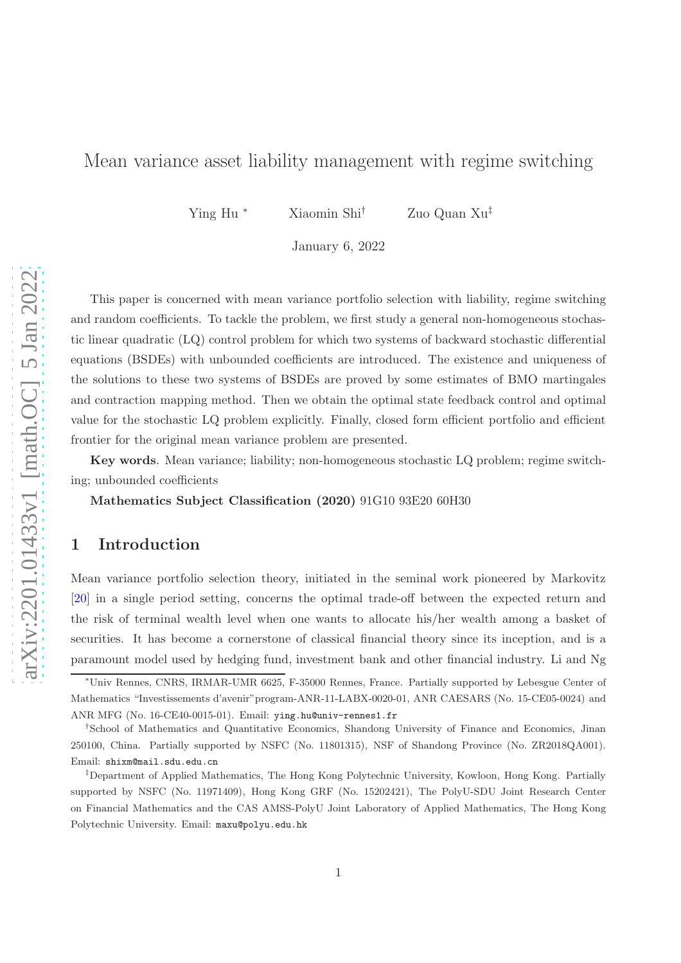## Mean variance asset liability management with regime switching

Ying Hu <sup>∗</sup> Xiaomin Shi† Zuo Quan Xu‡

January 6, 2022

This paper is concerned with mean variance portfolio selection with liability, regime switching and random coefficients. To tackle the problem, we first study a general non-homogeneous stochastic linear quadratic (LQ) control problem for which two systems of backward stochastic differential equations (BSDEs) with unbounded coefficients are introduced. The existence and uniqueness of the solutions to these two systems of BSDEs are proved by some estimates of BMO martingales and contraction mapping method. Then we obtain the optimal state feedback control and optimal value for the stochastic LQ problem explicitly. Finally, closed form efficient portfolio and efficient frontier for the original mean variance problem are presented.

Key words. Mean variance; liability; non-homogeneous stochastic LQ problem; regime switching; unbounded coefficients

Mathematics Subject Classification (2020) 91G10 93E20 60H30

## 1 Introduction

Mean variance portfolio selection theory, initiated in the seminal work pioneered by Markovitz [\[20\]](#page-24-0) in a single period setting, concerns the optimal trade-off between the expected return and the risk of terminal wealth level when one wants to allocate his/her wealth among a basket of securities. It has become a cornerstone of classical financial theory since its inception, and is a paramount model used by hedging fund, investment bank and other financial industry. Li and Ng

<sup>∗</sup>Univ Rennes, CNRS, IRMAR-UMR 6625, F-35000 Rennes, France. Partially supported by Lebesgue Center of Mathematics "Investissements d'avenir"program-ANR-11-LABX-0020-01, ANR CAESARS (No. 15-CE05-0024) and ANR MFG (No. 16-CE40-0015-01). Email: ying.hu@univ-rennes1.fr

<sup>†</sup> School of Mathematics and Quantitative Economics, Shandong University of Finance and Economics, Jinan 250100, China. Partially supported by NSFC (No. 11801315), NSF of Shandong Province (No. ZR2018QA001). Email: shixm@mail.sdu.edu.cn

<sup>‡</sup>Department of Applied Mathematics, The Hong Kong Polytechnic University, Kowloon, Hong Kong. Partially supported by NSFC (No. 11971409), Hong Kong GRF (No. 15202421), The PolyU-SDU Joint Research Center on Financial Mathematics and the CAS AMSS-PolyU Joint Laboratory of Applied Mathematics, The Hong Kong Polytechnic University. Email: maxu@polyu.edu.hk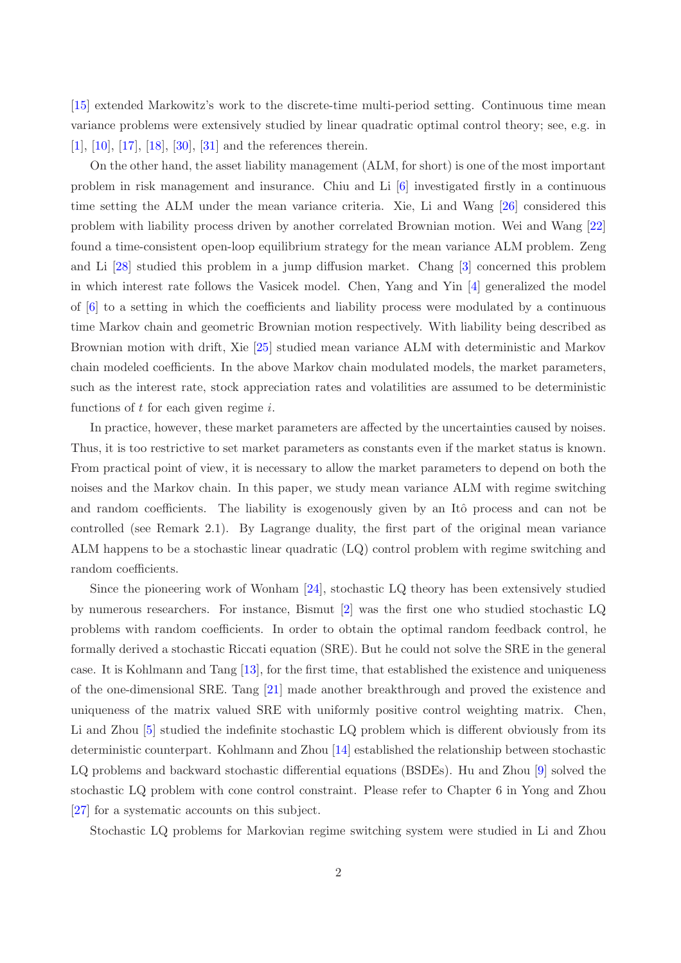[\[15\]](#page-24-1) extended Markowitz's work to the discrete-time multi-period setting. Continuous time mean variance problems were extensively studied by linear quadratic optimal control theory; see, e.g. in [\[1](#page-23-0)], [\[10\]](#page-23-1), [\[17](#page-24-2)], [\[18](#page-24-3)], [\[30\]](#page-25-0), [\[31](#page-25-1)] and the references therein.

On the other hand, the asset liability management (ALM, for short) is one of the most important problem in risk management and insurance. Chiu and Li [\[6](#page-23-2)] investigated firstly in a continuous time setting the ALM under the mean variance criteria. Xie, Li and Wang [\[26\]](#page-24-4) considered this problem with liability process driven by another correlated Brownian motion. Wei and Wang [\[22](#page-24-5)] found a time-consistent open-loop equilibrium strategy for the mean variance ALM problem. Zeng and Li [\[28](#page-24-6)] studied this problem in a jump diffusion market. Chang [\[3](#page-23-3)] concerned this problem in which interest rate follows the Vasicek model. Chen, Yang and Yin [\[4](#page-23-4)] generalized the model of  $[6]$  to a setting in which the coefficients and liability process were modulated by a continuous time Markov chain and geometric Brownian motion respectively. With liability being described as Brownian motion with drift, Xie [\[25](#page-24-7)] studied mean variance ALM with deterministic and Markov chain modeled coefficients. In the above Markov chain modulated models, the market parameters, such as the interest rate, stock appreciation rates and volatilities are assumed to be deterministic functions of  $t$  for each given regime  $i$ .

In practice, however, these market parameters are affected by the uncertainties caused by noises. Thus, it is too restrictive to set market parameters as constants even if the market status is known. From practical point of view, it is necessary to allow the market parameters to depend on both the noises and the Markov chain. In this paper, we study mean variance ALM with regime switching and random coefficients. The liability is exogenously given by an Itô process and can not be controlled (see Remark 2.1). By Lagrange duality, the first part of the original mean variance ALM happens to be a stochastic linear quadratic (LQ) control problem with regime switching and random coefficients.

Since the pioneering work of Wonham [\[24](#page-24-8)], stochastic LQ theory has been extensively studied by numerous researchers. For instance, Bismut [\[2\]](#page-23-5) was the first one who studied stochastic LQ problems with random coefficients. In order to obtain the optimal random feedback control, he formally derived a stochastic Riccati equation (SRE). But he could not solve the SRE in the general case. It is Kohlmann and Tang [\[13\]](#page-23-6), for the first time, that established the existence and uniqueness of the one-dimensional SRE. Tang [\[21](#page-24-9)] made another breakthrough and proved the existence and uniqueness of the matrix valued SRE with uniformly positive control weighting matrix. Chen, Li and Zhou [\[5](#page-23-7)] studied the indefinite stochastic LQ problem which is different obviously from its deterministic counterpart. Kohlmann and Zhou [\[14\]](#page-23-8) established the relationship between stochastic LQ problems and backward stochastic differential equations (BSDEs). Hu and Zhou [\[9](#page-23-9)] solved the stochastic LQ problem with cone control constraint. Please refer to Chapter 6 in Yong and Zhou [\[27\]](#page-24-10) for a systematic accounts on this subject.

Stochastic LQ problems for Markovian regime switching system were studied in Li and Zhou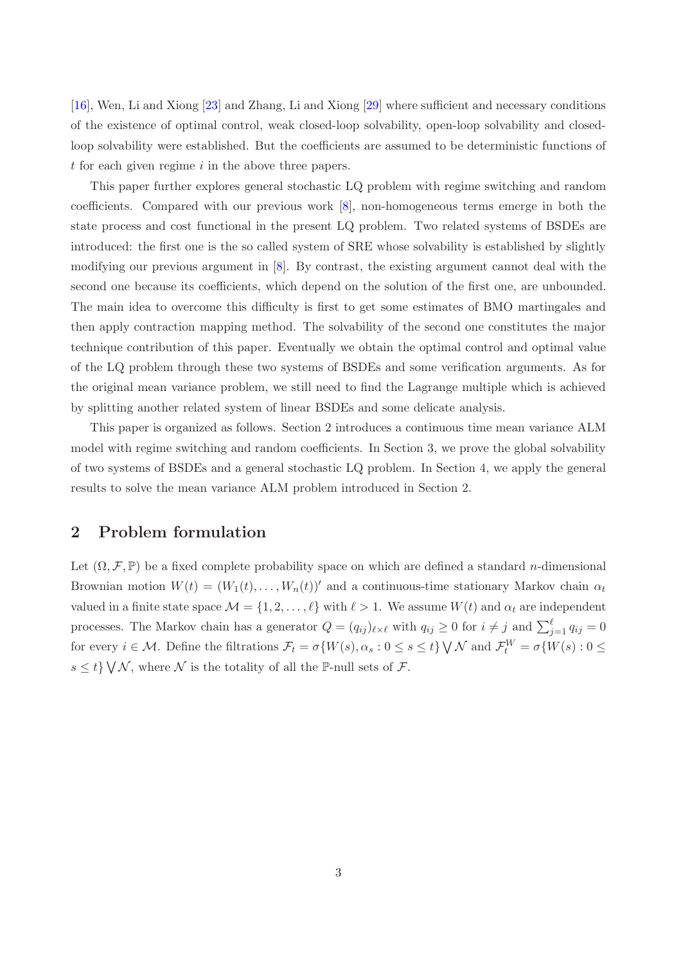[\[16\]](#page-24-11), Wen, Li and Xiong [\[23](#page-24-12)] and Zhang, Li and Xiong [\[29\]](#page-24-13) where sufficient and necessary conditions of the existence of optimal control, weak closed-loop solvability, open-loop solvability and closedloop solvability were established. But the coefficients are assumed to be deterministic functions of t for each given regime  $i$  in the above three papers.

This paper further explores general stochastic LQ problem with regime switching and random coefficients. Compared with our previous work [\[8\]](#page-23-10), non-homogeneous terms emerge in both the state process and cost functional in the present LQ problem. Two related systems of BSDEs are introduced: the first one is the so called system of SRE whose solvability is established by slightly modifying our previous argument in [\[8\]](#page-23-10). By contrast, the existing argument cannot deal with the second one because its coefficients, which depend on the solution of the first one, are unbounded. The main idea to overcome this difficulty is first to get some estimates of BMO martingales and then apply contraction mapping method. The solvability of the second one constitutes the major technique contribution of this paper. Eventually we obtain the optimal control and optimal value of the LQ problem through these two systems of BSDEs and some verification arguments. As for the original mean variance problem, we still need to find the Lagrange multiple which is achieved by splitting another related system of linear BSDEs and some delicate analysis.

This paper is organized as follows. Section 2 introduces a continuous time mean variance ALM model with regime switching and random coefficients. In Section 3, we prove the global solvability of two systems of BSDEs and a general stochastic LQ problem. In Section 4, we apply the general results to solve the mean variance ALM problem introduced in Section 2.

## 2 Problem formulation

Let  $(\Omega, \mathcal{F}, \mathbb{P})$  be a fixed complete probability space on which are defined a standard *n*-dimensional Brownian motion  $W(t) = (W_1(t), \ldots, W_n(t))'$  and a continuous-time stationary Markov chain  $\alpha_t$ valued in a finite state space  $\mathcal{M} = \{1, 2, ..., \ell\}$  with  $\ell > 1$ . We assume  $W(t)$  and  $\alpha_t$  are independent processes. The Markov chain has a generator  $Q = (q_{ij})_{\ell \times \ell}$  with  $q_{ij} \ge 0$  for  $i \ne j$  and  $\sum_{j=1}^{\ell} q_{ij} = 0$ for every  $i \in \mathcal{M}$ . Define the filtrations  $\mathcal{F}_t = \sigma\{W(s), \alpha_s : 0 \le s \le t\} \setminus \mathcal{N}$  and  $\mathcal{F}_t^W = \sigma\{W(s) : 0 \le t\}$  $s \leq t$   $\setminus \bigvee \mathcal{N}$ , where  $\mathcal{N}$  is the totality of all the P-null sets of  $\mathcal{F}$ .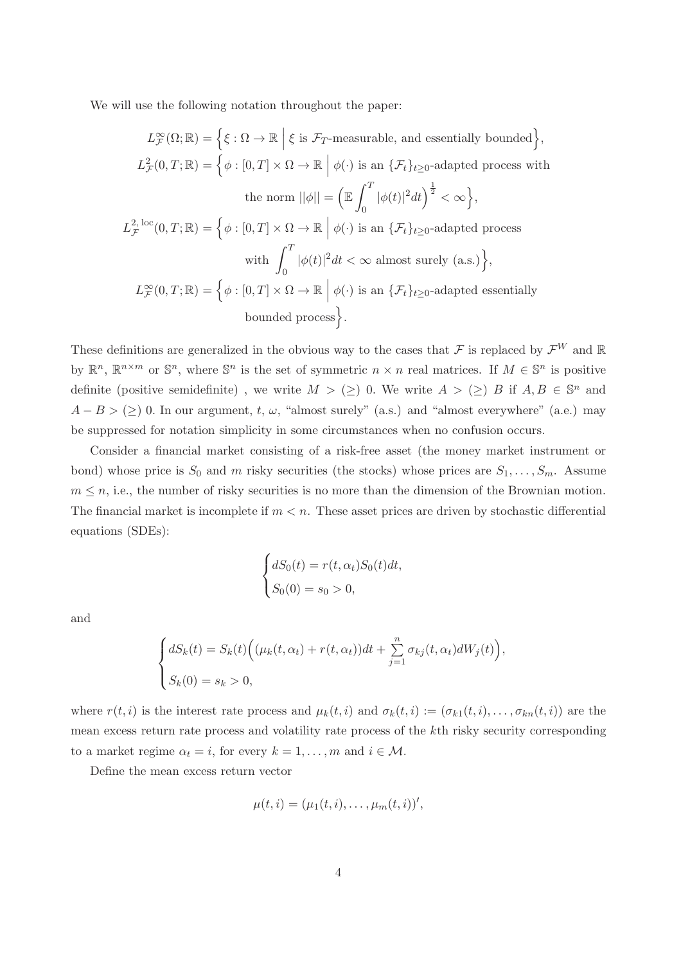We will use the following notation throughout the paper:

$$
L_{\mathcal{F}}^{\infty}(\Omega; \mathbb{R}) = \left\{ \xi : \Omega \to \mathbb{R} \mid \xi \text{ is } \mathcal{F}_{T}\text{-measurable, and essentially bounded} \right\},
$$
  
\n
$$
L_{\mathcal{F}}^{2}(0, T; \mathbb{R}) = \left\{ \phi : [0, T] \times \Omega \to \mathbb{R} \mid \phi(\cdot) \text{ is an } \{\mathcal{F}_{t}\}_{t \geq 0}\text{-adapted process with}
$$
  
\nthe norm  $||\phi|| = \left( \mathbb{E} \int_{0}^{T} |\phi(t)|^{2} dt \right)^{\frac{1}{2}} < \infty \right\},$   
\n
$$
L_{\mathcal{F}}^{2, \text{loc}}(0, T; \mathbb{R}) = \left\{ \phi : [0, T] \times \Omega \to \mathbb{R} \mid \phi(\cdot) \text{ is an } \{\mathcal{F}_{t}\}_{t \geq 0}\text{-adapted process}
$$
  
\nwith 
$$
\int_{0}^{T} |\phi(t)|^{2} dt < \infty \text{ almost surely (a.s.)} \right\},
$$
  
\n
$$
L_{\mathcal{F}}^{\infty}(0, T; \mathbb{R}) = \left\{ \phi : [0, T] \times \Omega \to \mathbb{R} \mid \phi(\cdot) \text{ is an } \{\mathcal{F}_{t}\}_{t \geq 0}\text{-adapted essentially}
$$
  
\nbounded process.

These definitions are generalized in the obvious way to the cases that  $\mathcal F$  is replaced by  $\mathcal F^W$  and  $\mathbb R$ by  $\mathbb{R}^n$ ,  $\mathbb{R}^{n \times m}$  or  $\mathbb{S}^n$ , where  $\mathbb{S}^n$  is the set of symmetric  $n \times n$  real matrices. If  $M \in \mathbb{S}^n$  is positive definite (positive semidefinite), we write  $M > (\geq)$  0. We write  $A > (\geq) B$  if  $A, B \in \mathbb{S}^n$  and  $A - B > (\geq) 0$ . In our argument, t,  $\omega$ , "almost surely" (a.s.) and "almost everywhere" (a.e.) may be suppressed for notation simplicity in some circumstances when no confusion occurs.

Consider a financial market consisting of a risk-free asset (the money market instrument or bond) whose price is  $S_0$  and m risky securities (the stocks) whose prices are  $S_1, \ldots, S_m$ . Assume  $m \leq n$ , i.e., the number of risky securities is no more than the dimension of the Brownian motion. The financial market is incomplete if  $m < n$ . These asset prices are driven by stochastic differential equations (SDEs):

$$
\begin{cases} dS_0(t) = r(t, \alpha_t)S_0(t)dt, \\ S_0(0) = s_0 > 0, \end{cases}
$$

and

$$
\begin{cases} dS_k(t) = S_k(t) \Big( (\mu_k(t, \alpha_t) + r(t, \alpha_t))dt + \sum_{j=1}^n \sigma_{kj}(t, \alpha_t) dW_j(t) \Big), \\ S_k(0) = s_k > 0, \end{cases}
$$

where  $r(t, i)$  is the interest rate process and  $\mu_k(t, i)$  and  $\sigma_k(t, i) := (\sigma_{k1}(t, i), \dots, \sigma_{kn}(t, i))$  are the mean excess return rate process and volatility rate process of the kth risky security corresponding to a market regime  $\alpha_t = i$ , for every  $k = 1, ..., m$  and  $i \in \mathcal{M}$ .

Define the mean excess return vector

$$
\mu(t,i)=(\mu_1(t,i),\ldots,\mu_m(t,i))',
$$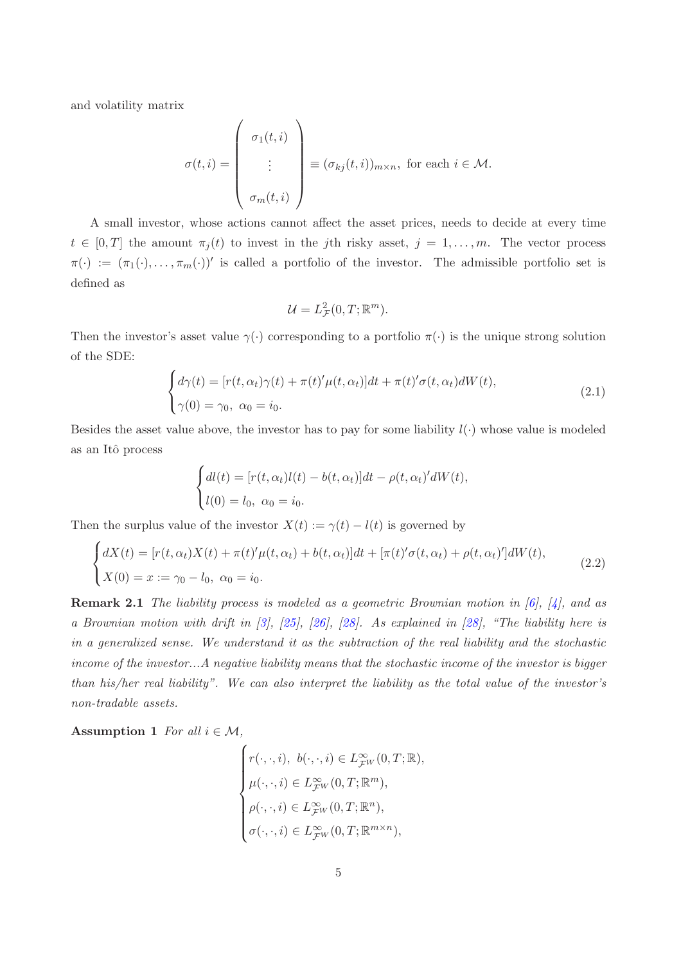and volatility matrix

$$
\sigma(t,i) = \begin{pmatrix} \sigma_1(t,i) \\ \vdots \\ \sigma_m(t,i) \end{pmatrix} \equiv (\sigma_{kj}(t,i))_{m \times n}, \text{ for each } i \in \mathcal{M}.
$$

A small investor, whose actions cannot affect the asset prices, needs to decide at every time  $t \in [0, T]$  the amount  $\pi_i(t)$  to invest in the jth risky asset,  $j = 1, \ldots, m$ . The vector process  $\pi(\cdot) := (\pi_1(\cdot), \ldots, \pi_m(\cdot))'$  is called a portfolio of the investor. The admissible portfolio set is defined as

$$
\mathcal{U}=L_{\mathcal{F}}^{2}(0,T;\mathbb{R}^{m}).
$$

Then the investor's asset value  $\gamma(\cdot)$  corresponding to a portfolio  $\pi(\cdot)$  is the unique strong solution of the SDE:

$$
\begin{cases} d\gamma(t) = [r(t, \alpha_t)\gamma(t) + \pi(t)'\mu(t, \alpha_t)]dt + \pi(t)'\sigma(t, \alpha_t)dW(t), \\ \gamma(0) = \gamma_0, \ \alpha_0 = i_0. \end{cases}
$$
\n(2.1)

Besides the asset value above, the investor has to pay for some liability  $l(\cdot)$  whose value is modeled as an Itˆo process

$$
\begin{cases} dl(t) = [r(t, \alpha_t)l(t) - b(t, \alpha_t)]dt - \rho(t, \alpha_t)'dW(t), \\ l(0) = l_0, \ \alpha_0 = i_0. \end{cases}
$$

Then the surplus value of the investor  $X(t) := \gamma(t) - l(t)$  is governed by

$$
\begin{cases}\ndX(t) = [r(t, \alpha_t)X(t) + \pi(t)'\mu(t, \alpha_t) + b(t, \alpha_t)]dt + [\pi(t)'\sigma(t, \alpha_t) + \rho(t, \alpha_t)']dW(t), \\
X(0) = x := \gamma_0 - l_0, \ \alpha_0 = i_0.\n\end{cases}
$$
\n(2.2)

Remark 2.1 *The liability process is modeled as a geometric Brownian motion in [\[6](#page-23-2)], [\[4](#page-23-4)], and as a Brownian motion with drift in [\[3](#page-23-3)], [\[25](#page-24-7)], [\[26](#page-24-4)], [\[28](#page-24-6)]. As explained in [\[28\]](#page-24-6), "The liability here is in a generalized sense. We understand it as the subtraction of the real liability and the stochastic income of the investor...A negative liability means that the stochastic income of the investor is bigger than his/her real liability". We can also interpret the liability as the total value of the investor's non-tradable assets.*

<span id="page-4-0"></span>Assumption 1 *For all*  $i \in \mathcal{M}$ ,

$$
\begin{cases}\nr(\cdot,\cdot,i),\ b(\cdot,\cdot,i)\in L_{\mathcal{F}^W}^{\infty}(0,T;\mathbb{R}),\\ \mu(\cdot,\cdot,i)\in L_{\mathcal{F}^W}^{\infty}(0,T;\mathbb{R}^m),\\ \rho(\cdot,\cdot,i)\in L_{\mathcal{F}^W}^{\infty}(0,T;\mathbb{R}^n),\\ \sigma(\cdot,\cdot,i)\in L_{\mathcal{F}^W}^{\infty}(0,T;\mathbb{R}^{m\times n}),\end{cases}
$$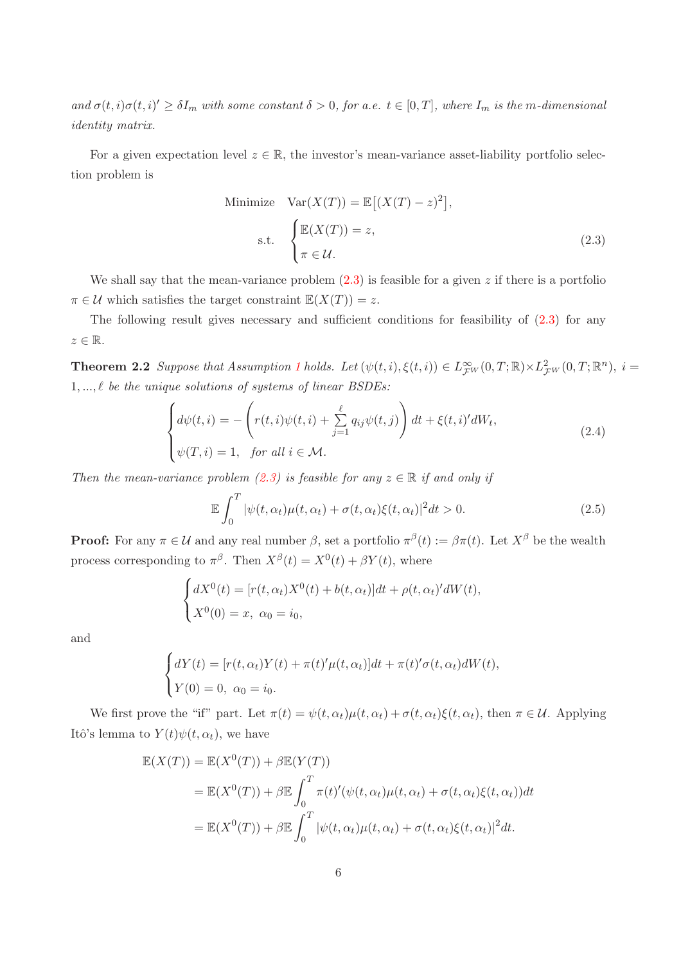$\partial_{\mathcal{A}} \sigma(t,i) \sigma(t,i)' \geq \delta I_m$  with some constant  $\delta > 0$ , for a.e.  $t \in [0,T]$ , where  $I_m$  is the m-dimensional *identity matrix.*

For a given expectation level  $z \in \mathbb{R}$ , the investor's mean-variance asset-liability portfolio selection problem is

<span id="page-5-0"></span>Minimize 
$$
\text{Var}(X(T)) = \mathbb{E}[(X(T) - z)^2],
$$
  
s.t. 
$$
\begin{cases} \mathbb{E}(X(T)) = z, \\ \pi \in \mathcal{U}. \end{cases}
$$
 (2.3)

We shall say that the mean-variance problem  $(2.3)$  is feasible for a given z if there is a portfolio  $\pi \in \mathcal{U}$  which satisfies the target constraint  $\mathbb{E}(X(T)) = z$ .

The following result gives necessary and sufficient conditions for feasibility of  $(2.3)$  for any  $z \in \mathbb{R}$ .

**Theorem 2.2** *Suppose that Assumption [1](#page-4-0) holds.* Let  $(\psi(t, i), \xi(t, i)) \in L^{\infty}_{\mathcal{F}^W}(0,T; \mathbb{R}) \times L^2_{\mathcal{F}^W}(0,T; \mathbb{R}^n)$ ,  $i =$ 1, ..., ℓ *be the unique solutions of systems of linear BSDEs:*

$$
\begin{cases}\nd\psi(t,i) = -\left(r(t,i)\psi(t,i) + \sum_{j=1}^{\ell} q_{ij}\psi(t,j)\right)dt + \xi(t,i)'dW_t, \\
\psi(T,i) = 1, \quad \text{for all } i \in \mathcal{M}.\n\end{cases} \tag{2.4}
$$

*Then the mean-variance problem* [\(2.3\)](#page-5-0) *is feasible for any*  $z \in \mathbb{R}$  *if and only if* 

<span id="page-5-1"></span>
$$
\mathbb{E}\int_0^T |\psi(t,\alpha_t)\mu(t,\alpha_t) + \sigma(t,\alpha_t)\xi(t,\alpha_t)|^2 dt > 0.
$$
\n(2.5)

**Proof:** For any  $\pi \in \mathcal{U}$  and any real number  $\beta$ , set a portfolio  $\pi^{\beta}(t) := \beta \pi(t)$ . Let  $X^{\beta}$  be the wealth process corresponding to  $\pi^{\beta}$ . Then  $X^{\beta}(t) = X^{0}(t) + \beta Y(t)$ , where

$$
\begin{cases} dX^0(t) = [r(t, \alpha_t)X^0(t) + b(t, \alpha_t)]dt + \rho(t, \alpha_t)'dW(t), \\ X^0(0) = x, \ \alpha_0 = i_0, \end{cases}
$$

and

$$
\begin{cases}\ndY(t) = [r(t, \alpha_t)Y(t) + \pi(t)'\mu(t, \alpha_t)]dt + \pi(t)'\sigma(t, \alpha_t)dW(t), \\
Y(0) = 0, \ \alpha_0 = i_0.\n\end{cases}
$$

We first prove the "if" part. Let  $\pi(t) = \psi(t, \alpha_t) \mu(t, \alpha_t) + \sigma(t, \alpha_t) \xi(t, \alpha_t)$ , then  $\pi \in \mathcal{U}$ . Applying Itô's lemma to  $Y(t)\psi(t,\alpha_t)$ , we have

$$
\mathbb{E}(X(T)) = \mathbb{E}(X^{0}(T)) + \beta \mathbb{E}(Y(T))
$$
  
= 
$$
\mathbb{E}(X^{0}(T)) + \beta \mathbb{E} \int_{0}^{T} \pi(t)'(\psi(t, \alpha_{t})\mu(t, \alpha_{t}) + \sigma(t, \alpha_{t})\xi(t, \alpha_{t}))dt
$$
  
= 
$$
\mathbb{E}(X^{0}(T)) + \beta \mathbb{E} \int_{0}^{T} |\psi(t, \alpha_{t})\mu(t, \alpha_{t}) + \sigma(t, \alpha_{t})\xi(t, \alpha_{t})|^{2} dt.
$$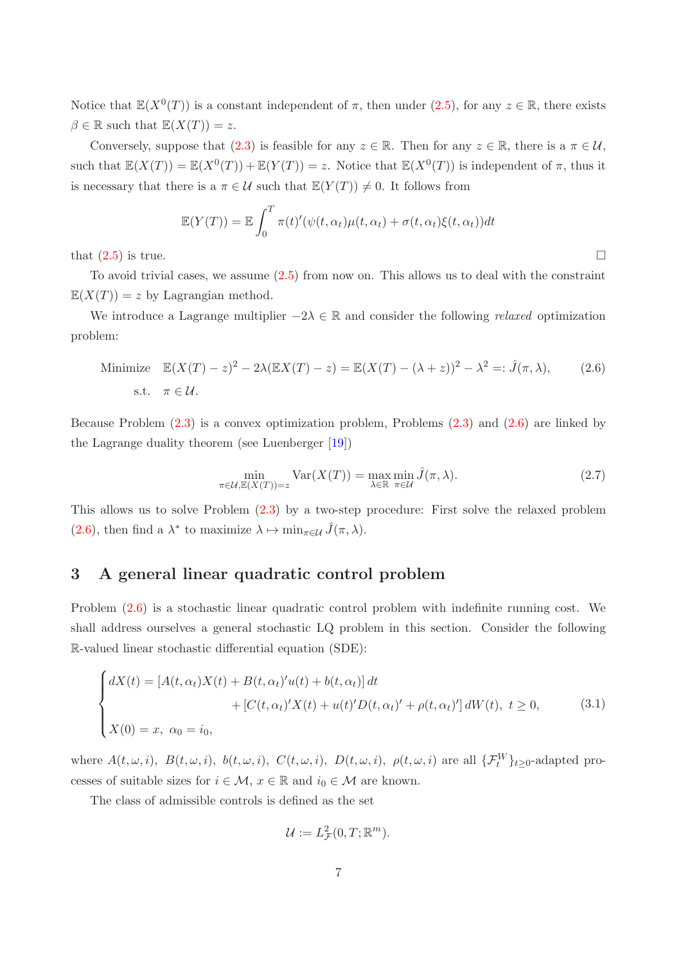Notice that  $\mathbb{E}(X^0(T))$  is a constant independent of  $\pi$ , then under  $(2.5)$ , for any  $z \in \mathbb{R}$ , there exists  $\beta \in \mathbb{R}$  such that  $\mathbb{E}(X(T)) = z$ .

Conversely, suppose that  $(2.3)$  is feasible for any  $z \in \mathbb{R}$ . Then for any  $z \in \mathbb{R}$ , there is a  $\pi \in \mathcal{U}$ , such that  $\mathbb{E}(X(T)) = \mathbb{E}(X^{0}(T)) + \mathbb{E}(Y(T)) = z$ . Notice that  $\mathbb{E}(X^{0}(T))$  is independent of  $\pi$ , thus it is necessary that there is a  $\pi \in \mathcal{U}$  such that  $\mathbb{E}(Y(T)) \neq 0$ . It follows from

$$
\mathbb{E}(Y(T)) = \mathbb{E}\int_0^T \pi(t)'(\psi(t,\alpha_t)\mu(t,\alpha_t) + \sigma(t,\alpha_t)\xi(t,\alpha_t))dt
$$

that  $(2.5)$  is true.

To avoid trivial cases, we assume  $(2.5)$  from now on. This allows us to deal with the constraint  $\mathbb{E}(X(T)) = z$  by Lagrangian method.

We introduce a Lagrange multiplier  $-2\lambda \in \mathbb{R}$  and consider the following *relaxed* optimization problem:

Minimize 
$$
\mathbb{E}(X(T) - z)^2 - 2\lambda(\mathbb{E}X(T) - z) = \mathbb{E}(X(T) - (\lambda + z))^2 - \lambda^2 =: \hat{J}(\pi, \lambda),
$$
 (2.6)  
s.t.  $\pi \in \mathcal{U}$ .

Because Problem [\(2.3\)](#page-5-0) is a convex optimization problem, Problems [\(2.3\)](#page-5-0) and [\(2.6\)](#page-6-0) are linked by the Lagrange duality theorem (see Luenberger [\[19](#page-24-14)])

<span id="page-6-2"></span><span id="page-6-0"></span>
$$
\min_{\pi \in \mathcal{U}, \mathbb{E}(X(T)) = z} \text{Var}(X(T)) = \max_{\lambda \in \mathbb{R}} \min_{\pi \in \mathcal{U}} \hat{J}(\pi, \lambda).
$$
\n(2.7)

This allows us to solve Problem [\(2.3\)](#page-5-0) by a two-step procedure: First solve the relaxed problem [\(2.6\)](#page-6-0), then find a  $\lambda^*$  to maximize  $\lambda \mapsto \min_{\pi \in \mathcal{U}} \hat{J}(\pi, \lambda)$ .

## 3 A general linear quadratic control problem

Problem [\(2.6\)](#page-6-0) is a stochastic linear quadratic control problem with indefinite running cost. We shall address ourselves a general stochastic LQ problem in this section. Consider the following R-valued linear stochastic differential equation (SDE):

$$
\begin{cases}\ndX(t) = [A(t, \alpha_t)X(t) + B(t, \alpha_t)'u(t) + b(t, \alpha_t)] dt \\
+ [C(t, \alpha_t)'X(t) + u(t)'D(t, \alpha_t)' + \rho(t, \alpha_t)'] dW(t), \ t \ge 0, \\
X(0) = x, \ \alpha_0 = i_0,\n\end{cases} \tag{3.1}
$$

where  $A(t,\omega,i)$ ,  $B(t,\omega,i)$ ,  $b(t,\omega,i)$ ,  $C(t,\omega,i)$ ,  $D(t,\omega,i)$ ,  $\rho(t,\omega,i)$  are all  $\{\mathcal{F}_t^W\}_{t\geq0}$ -adapted processes of suitable sizes for  $i \in \mathcal{M}$ ,  $x \in \mathbb{R}$  and  $i_0 \in \mathcal{M}$  are known.

The class of admissible controls is defined as the set

<span id="page-6-1"></span>
$$
\mathcal{U} := L^2_{\mathcal{F}}(0,T;\mathbb{R}^m).
$$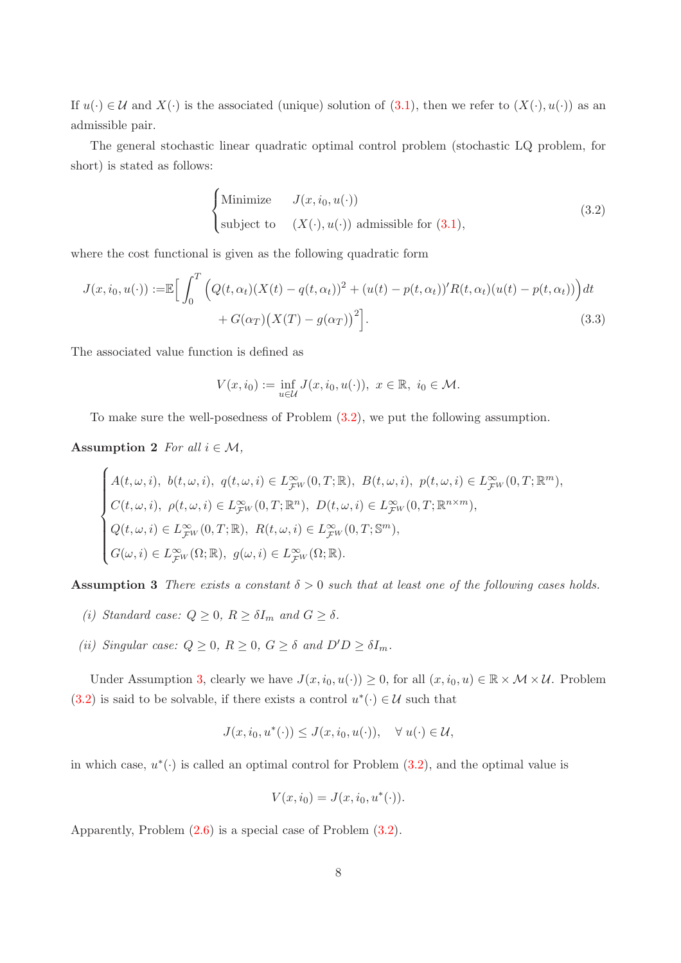If  $u(\cdot) \in \mathcal{U}$  and  $X(\cdot)$  is the associated (unique) solution of [\(3.1\)](#page-6-1), then we refer to  $(X(\cdot), u(\cdot))$  as an admissible pair.

The general stochastic linear quadratic optimal control problem (stochastic LQ problem, for short) is stated as follows:

<span id="page-7-0"></span>
$$
\begin{cases}\n\text{Minimize} & J(x, i_0, u(\cdot)) \\
\text{subject to} & (X(\cdot), u(\cdot)) \text{ admissible for (3.1)},\n\end{cases}
$$
\n(3.2)

where the cost functional is given as the following quadratic form

$$
J(x, i_0, u(\cdot)) := \mathbb{E}\Big[\int_0^T \Big(Q(t, \alpha_t)(X(t) - q(t, \alpha_t))^2 + (u(t) - p(t, \alpha_t))^T R(t, \alpha_t)(u(t) - p(t, \alpha_t))\Big)dt
$$
  
+  $G(\alpha_T)\big(X(T) - g(\alpha_T)\big)^2\Big].$  (3.3)

The associated value function is defined as

<span id="page-7-2"></span>
$$
V(x, i_0) := \inf_{u \in \mathcal{U}} J(x, i_0, u(\cdot)), \ x \in \mathbb{R}, \ i_0 \in \mathcal{M}.
$$

To make sure the well-posedness of Problem [\(3.2\)](#page-7-0), we put the following assumption.

### Assumption 2 *For all*  $i \in \mathcal{M}$ ,

$$
\begin{cases} A(t,\omega,i),\ b(t,\omega,i),\ q(t,\omega,i)\in L^\infty_{\mathcal{F}^W}(0,T;\mathbb{R}),\ B(t,\omega,i),\ p(t,\omega,i)\in L^\infty_{\mathcal{F}^W}(0,T;\mathbb{R}^m),\\ C(t,\omega,i),\ \rho(t,\omega,i)\in L^\infty_{\mathcal{F}^W}(0,T;\mathbb{R}^n),\ D(t,\omega,i)\in L^\infty_{\mathcal{F}^W}(0,T;\mathbb{R}^{n\times m}),\\ Q(t,\omega,i)\in L^\infty_{\mathcal{F}^W}(0,T;\mathbb{R}),\ R(t,\omega,i)\in L^\infty_{\mathcal{F}^W}(0,T;\mathbb{S}^m),\\ G(\omega,i)\in L^\infty_{\mathcal{F}^W}(\Omega;\mathbb{R}),\ g(\omega,i)\in L^\infty_{\mathcal{F}^W}(\Omega;\mathbb{R}). \end{cases}
$$

<span id="page-7-1"></span>Assumption 3 *There exists a constant*  $\delta > 0$  *such that at least one of the following cases holds.* 

- *(i) Standard case:*  $Q \geq 0$ ,  $R \geq \delta I_m$  *and*  $G \geq \delta$ .
- *(ii)* Singular case:  $Q \geq 0$ ,  $R \geq 0$ ,  $G \geq \delta$  and  $D'D \geq \delta I_m$ .

Under Assumption [3,](#page-7-1) clearly we have  $J(x, i_0, u(\cdot)) \geq 0$ , for all  $(x, i_0, u) \in \mathbb{R} \times \mathcal{M} \times \mathcal{U}$ . Problem [\(3.2\)](#page-7-0) is said to be solvable, if there exists a control  $u^*(\cdot) \in \mathcal{U}$  such that

$$
J(x, i_0, u^*(\cdot)) \le J(x, i_0, u(\cdot)), \quad \forall u(\cdot) \in \mathcal{U},
$$

in which case,  $u^*(\cdot)$  is called an optimal control for Problem  $(3.2)$ , and the optimal value is

$$
V(x, i_0) = J(x, i_0, u^*(\cdot)).
$$

Apparently, Problem [\(2.6\)](#page-6-0) is a special case of Problem [\(3.2\)](#page-7-0).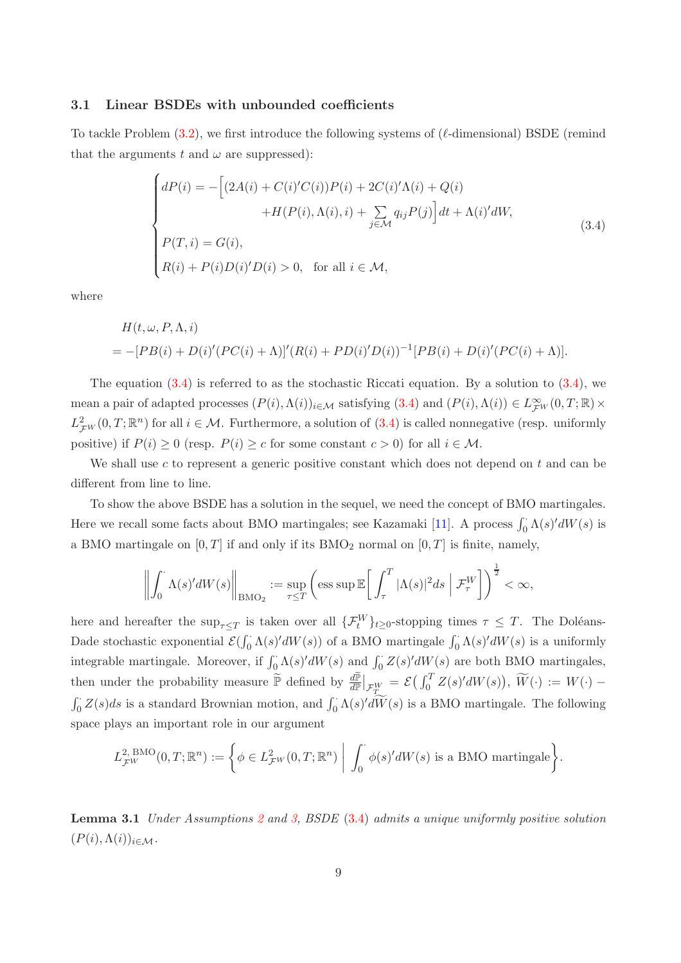#### 3.1 Linear BSDEs with unbounded coefficients

To tackle Problem  $(3.2)$ , we first introduce the following systems of  $(\ell$ -dimensional) BSDE (remind that the arguments t and  $\omega$  are suppressed):

<span id="page-8-0"></span>
$$
\begin{cases}\ndP(i) = -\left[(2A(i) + C(i)'C(i))P(i) + 2C(i)' \Lambda(i) + Q(i) + H(P(i), \Lambda(i), i) + \sum_{j \in \mathcal{M}} q_{ij}P(j)\right]dt + \Lambda(i)'dW, \\
P(T, i) = G(i), \\
R(i) + P(i)D(i)'D(i) > 0, \text{ for all } i \in \mathcal{M},\n\end{cases} \tag{3.4}
$$

where

$$
H(t, \omega, P, \Lambda, i)
$$
  
= -[PB(i) + D(i)'(PC(i) + \Lambda)]'(R(i) + PD(i)'D(i))^{-1}[PB(i) + D(i)'(PC(i) + \Lambda)].

The equation  $(3.4)$  is referred to as the stochastic Riccati equation. By a solution to  $(3.4)$ , we mean a pair of adapted processes  $(P(i), \Lambda(i))_{i \in \mathcal{M}}$  satisfying  $(3.4)$  and  $(P(i), \Lambda(i)) \in L^{\infty}_{\mathcal{F}^W}(0,T;\mathbb{R}) \times$  $L^2_{\mathcal{F}W}(0,T;\mathbb{R}^n)$  for all  $i \in \mathcal{M}$ . Furthermore, a solution of  $(3.4)$  is called nonnegative (resp. uniformly positive) if  $P(i) \ge 0$  (resp.  $P(i) \ge c$  for some constant  $c > 0$ ) for all  $i \in \mathcal{M}$ .

We shall use c to represent a generic positive constant which does not depend on t and can be different from line to line.

To show the above BSDE has a solution in the sequel, we need the concept of BMO martingales. Here we recall some facts about BMO martingales; see Kazamaki [\[11\]](#page-23-11). A process  $\int_0^{\cdot} \Lambda(s)' dW(s)$  is a BMO martingale on  $[0, T]$  if and only if its BMO<sub>2</sub> normal on  $[0, T]$  is finite, namely,

$$
\left\| \int_0^{\cdot} \Lambda(s)' dW(s) \right\|_{\text{BMO}_2} := \sup_{\tau \leq T} \left( \text{ess sup } \mathbb{E} \bigg[ \int_{\tau}^T |\Lambda(s)|^2 ds \mid \mathcal{F}^W_{\tau} \bigg] \right)^{\frac{1}{2}} < \infty,
$$

here and hereafter the  $\sup_{\tau\leq T}$  is taken over all  $\{\mathcal{F}_t^W\}_{t\geq 0}$ -stopping times  $\tau \leq T$ . The Doléans-Dade stochastic exponential  $\mathcal{E}(\int_0^{\cdot} \Lambda(s)'dW(s))$  of a BMO martingale  $\int_0^{\cdot} \Lambda(s)'dW(s)$  is a uniformly integrable martingale. Moreover, if  $\int_0^{\cdot} \Lambda(s)' dW(s)$  and  $\int_0^{\cdot} Z(s)' dW(s)$  are both BMO martingales, then under the probability measure  $\widetilde{\mathbb{P}}$  defined by  $\frac{d\widetilde{\mathbb{P}}}{d\mathbb{P}}|_{\mathcal{F}_{T}^{W}} = \mathcal{E}(\int_0^T Z(s)'dW(s)), \widetilde{W}(\cdot) := W(\cdot) \int_0^{\cdot} Z(s)ds$  is a standard Brownian motion, and  $\int_0^{\cdot} \Lambda(s)'d\widetilde{W}(s)$  is a BMO martingale. The following space plays an important role in our argument

$$
L_{\mathcal{F}^W}^{2,\,\text{BMO}}(0,T;\mathbb{R}^n) := \left\{ \phi \in L_{\mathcal{F}^W}^2(0,T;\mathbb{R}^n) \middle| \int_0^{\cdot} \phi(s)'dW(s) \text{ is a BMO martingale} \right\}.
$$

<span id="page-8-1"></span>Lemma 3.1 *Under Assumptions [2](#page-7-2) and [3,](#page-7-1) BSDE* [\(3.4\)](#page-8-0) *admits a unique uniformly positive solution*  $(P(i), \Lambda(i))_{i \in \mathcal{M}}$ .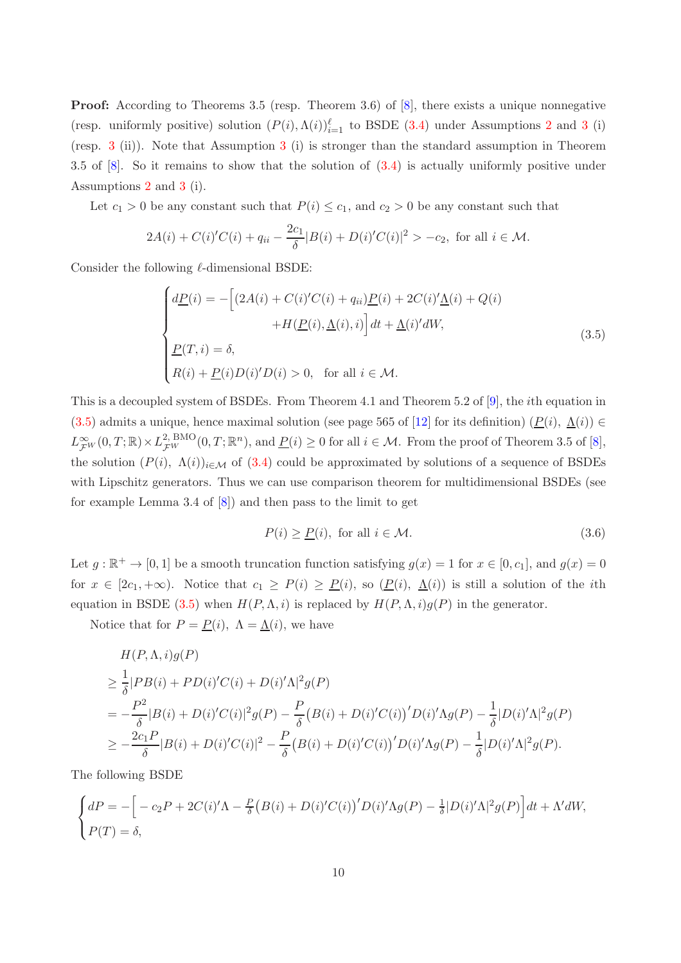**Proof:** According to Theorems 3.5 (resp. Theorem 3.6) of  $[8]$ , there exists a unique nonnegative (resp. uniformly positive) solution  $(P(i), \Lambda(i))_{i=1}^{\ell}$  to BSDE [\(3.4\)](#page-8-0) under Assumptions [2](#page-7-2) and [3](#page-7-1) (i) (resp. [3](#page-7-1) (ii)). Note that Assumption [3](#page-7-1) (i) is stronger than the standard assumption in Theorem 3.5 of [\[8](#page-23-10)]. So it remains to show that the solution of [\(3.4\)](#page-8-0) is actually uniformly positive under Assumptions [2](#page-7-2) and [3](#page-7-1) (i).

Let  $c_1 > 0$  be any constant such that  $P(i) \leq c_1$ , and  $c_2 > 0$  be any constant such that

$$
2A(i) + C(i)'C(i) + q_{ii} - \frac{2c_1}{\delta}|B(i) + D(i)'C(i)|^2 > -c_2
$$
, for all  $i \in \mathcal{M}$ .

Consider the following  $\ell$ -dimensional BSDE:

$$
\begin{cases}\nd\underline{P}(i) = -\left[(2A(i) + C(i)'C(i) + q_{ii})\underline{P}(i) + 2C(i)'\underline{\Lambda}(i) + Q(i) + H(\underline{P}(i), \underline{\Lambda}(i), i)\right]dt + \underline{\Lambda}(i)'dW, \\
\underline{P}(T, i) = \delta, \\
R(i) + \underline{P}(i)D(i)'D(i) > 0, \text{ for all } i \in \mathcal{M}.\n\end{cases}
$$
\n(3.5)

This is a decoupled system of BSDEs. From Theorem 4.1 and Theorem 5.2 of [\[9](#page-23-9)], the ith equation in [\(3.5\)](#page-9-0) admits a unique, hence maximal solution (see page 565 of [\[12\]](#page-23-12) for its definition)  $(\underline{P}(i), \underline{\Lambda}(i)) \in$  $L^{\infty}_{\mathcal{F}W}(0,T;\mathbb{R}) \times L^2_{\mathcal{F}W}^{\text{BMO}}(0,T;\mathbb{R}^n)$ , and  $\underline{P}(i) \geq 0$  for all  $i \in \mathcal{M}$ . From the proof of Theorem 3.5 of [\[8](#page-23-10)], the solution  $(P(i), \Lambda(i))_{i \in \mathcal{M}}$  of [\(3.4\)](#page-8-0) could be approximated by solutions of a sequence of BSDEs with Lipschitz generators. Thus we can use comparison theorem for multidimensional BSDEs (see for example Lemma 3.4 of [\[8\]](#page-23-10)) and then pass to the limit to get

<span id="page-9-1"></span><span id="page-9-0"></span>
$$
P(i) \ge \underline{P}(i), \text{ for all } i \in \mathcal{M}.
$$
\n
$$
(3.6)
$$

Let  $g : \mathbb{R}^+ \to [0, 1]$  be a smooth truncation function satisfying  $g(x) = 1$  for  $x \in [0, c_1]$ , and  $g(x) = 0$ for  $x \in [2c_1, +\infty)$ . Notice that  $c_1 \ge P(i) \ge P(i)$ , so  $(P(i), \Delta(i))$  is still a solution of the *i*th equation in BSDE [\(3.5\)](#page-9-0) when  $H(P, \Lambda, i)$  is replaced by  $H(P, \Lambda, i)g(P)$  in the generator.

Notice that for  $P = P(i)$ ,  $\Lambda = \Lambda(i)$ , we have

$$
H(P, \Lambda, i)g(P)
$$
  
\n
$$
\geq \frac{1}{\delta}|PB(i) + PD(i)'C(i) + D(i)' \Lambda|^2 g(P)
$$
  
\n
$$
= -\frac{P^2}{\delta}|B(i) + D(i)'C(i)|^2 g(P) - \frac{P}{\delta}(B(i) + D(i)'C(i))'D(i)' \Lambda g(P) - \frac{1}{\delta}|D(i)' \Lambda|^2 g(P)
$$
  
\n
$$
\geq -\frac{2c_1 P}{\delta}|B(i) + D(i)'C(i)|^2 - \frac{P}{\delta}(B(i) + D(i)'C(i))'D(i)' \Lambda g(P) - \frac{1}{\delta}|D(i)' \Lambda|^2 g(P).
$$

The following BSDE

$$
\begin{cases}\ndP = -\Big[-c_2P + 2C(i)'\Lambda - \frac{P}{\delta}\big(B(i) + D(i)'C(i)\big)'D(i)'\Lambda g(P) - \frac{1}{\delta}|D(i)'\Lambda|^2 g(P)\Big]dt + \Lambda'dW, \\
P(T) = \delta,\n\end{cases}
$$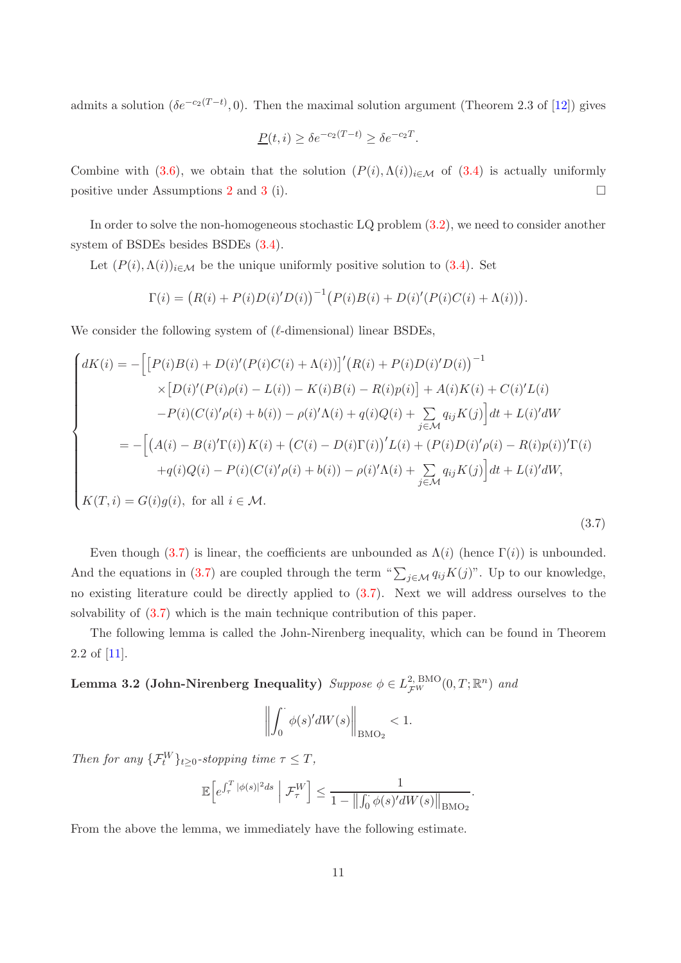admits a solution  $(\delta e^{-c_2(T-t)}, 0)$ . Then the maximal solution argument (Theorem 2.3 of [\[12\]](#page-23-12)) gives

$$
\underline{P}(t,i) \ge \delta e^{-c_2(T-t)} \ge \delta e^{-c_2 T}.
$$

Combine with [\(3.6\)](#page-9-1), we obtain that the solution  $(P(i), \Lambda(i))_{i \in \mathcal{M}}$  of [\(3.4\)](#page-8-0) is actually uniformly positive under Assumptions [2](#page-7-2) and [3](#page-7-1) (i).  $\Box$ 

In order to solve the non-homogeneous stochastic LQ problem [\(3.2\)](#page-7-0), we need to consider another system of BSDEs besides BSDEs [\(3.4\)](#page-8-0).

Let  $(P(i), \Lambda(i))_{i \in \mathcal{M}}$  be the unique uniformly positive solution to [\(3.4\)](#page-8-0). Set

$$
\Gamma(i) = (R(i) + P(i)D(i)'D(i))^{-1} (P(i)B(i) + D(i)'(P(i)C(i) + \Lambda(i))).
$$

We consider the following system of  $(\ell$ -dimensional) linear BSDEs,

$$
\begin{cases}\ndK(i) = -\Big[ \big[P(i)B(i) + D(i)'(P(i)C(i) + \Lambda(i))\big]'\big(R(i) + P(i)D(i)'D(i)\big)^{-1} \\
\times \big[D(i)'(P(i)\rho(i) - L(i)) - K(i)B(i) - R(i)p(i)\big] + A(i)K(i) + C(i)'L(i) \\
-P(i)(C(i)'\rho(i) + b(i)) - \rho(i)'\Lambda(i) + q(i)Q(i) + \sum_{j \in \mathcal{M}} q_{ij}K(j)\Big]dt + L(i)'dW \\
= -\Big[ \big(A(i) - B(i)'\Gamma(i)\big)K(i) + \big(C(i) - D(i)\Gamma(i)\big)'L(i) + \big(P(i)D(i)'\rho(i) - R(i)p(i)\big)'\Gamma(i) \\
+ q(i)Q(i) - P(i)(C(i)'\rho(i) + b(i)) - \rho(i)'\Lambda(i) + \sum_{j \in \mathcal{M}} q_{ij}K(j)\Big]dt + L(i)'dW,\n\end{cases}
$$
\n
$$
K(T, i) = G(i)g(i), \text{ for all } i \in \mathcal{M}.
$$
\n(3.7)

Even though [\(3.7\)](#page-10-0) is linear, the coefficients are unbounded as  $\Lambda(i)$  (hence  $\Gamma(i)$ ) is unbounded. And the equations in [\(3.7\)](#page-10-0) are coupled through the term " $\sum_{j\in\mathcal{M}} q_{ij}K(j)$ ". Up to our knowledge, no existing literature could be directly applied to [\(3.7\)](#page-10-0). Next we will address ourselves to the solvability of [\(3.7\)](#page-10-0) which is the main technique contribution of this paper.

The following lemma is called the John-Nirenberg inequality, which can be found in Theorem 2.2 of [\[11\]](#page-23-11).

Lemma 3.2 (John-Nirenberg Inequality)  $\textit{Suppose } \phi \in L^2_{\mathcal{F}^W}(0,T;\mathbb{R}^n)$  and

<span id="page-10-1"></span><span id="page-10-0"></span>
$$
\left\| \int_0^{\cdot} \phi(s)' dW(s) \right\|_{\text{BMO}_2} < 1.
$$

*Then for any*  $\{\mathcal{F}_t^W\}_{t\geq 0}$ -stopping time  $\tau \leq T$ ,

$$
\mathbb{E}\Big[e^{\int_{\tau}^{T}|\phi(s)|^{2}ds}\hspace{0.1 cm}\Big|\hspace{0.1 cm}\mathcal{F}_{\tau}^{W}\Big]\leq \frac{1}{1-\big\|\int_{0}^{\cdot}\phi(s)'dW(s)\big\|_{\mathrm{BMO}_2}}.
$$

From the above the lemma, we immediately have the following estimate.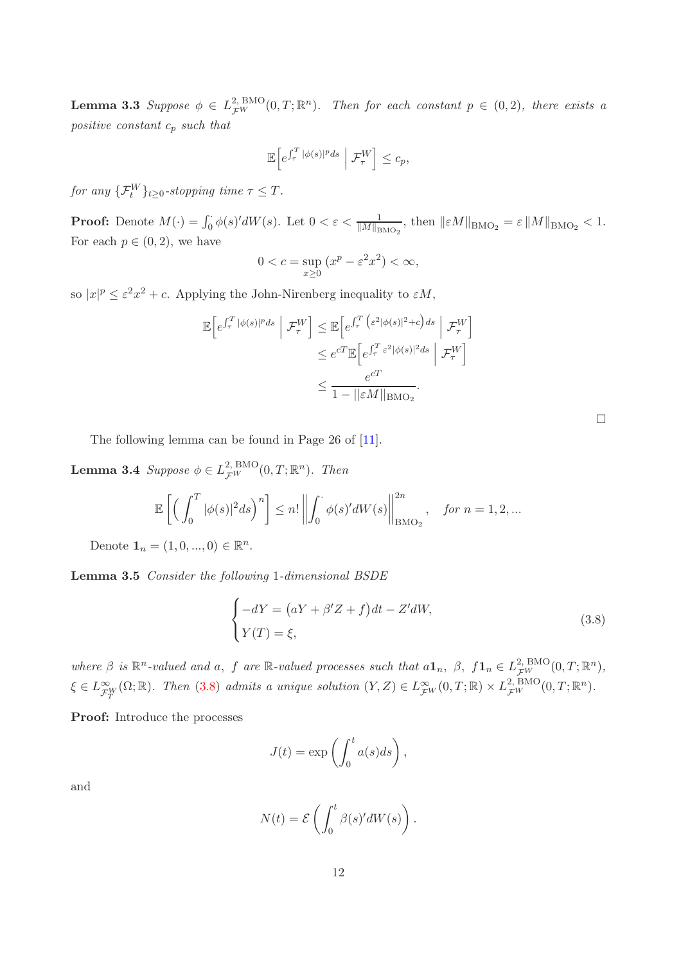**Lemma 3.3** Suppose  $\phi \in L^2_{\mathcal{F}^W}(0,T;\mathbb{R}^n)$ . Then for each constant  $p \in (0,2)$ , there exists a *positive constant* c<sup>p</sup> *such that*

$$
\mathbb{E}\left[e^{\int_{\tau}^{T}|\phi(s)|^{p}ds}\,\bigg|\,\mathcal{F}_{\tau}^{W}\right]\leq c_{p},
$$

*for any*  $\{\mathcal{F}_t^W\}_{t\geq 0}$ -stopping time  $\tau \leq T$ .

**Proof:** Denote  $M(\cdot) = \int_0^{\cdot} \phi(s)' dW(s)$ . Let  $0 < \varepsilon < \frac{1}{\|M\|_{\text{BMO}_2}}$ , then  $||\varepsilon M||_{\text{BMO}_2} = \varepsilon ||M||_{\text{BMO}_2} < 1$ . For each  $p \in (0, 2)$ , we have

$$
0 < c = \sup_{x \ge 0} \left( x^p - \varepsilon^2 x^2 \right) < \infty
$$

so  $|x|^p \leq \varepsilon^2 x^2 + c$ . Applying the John-Nirenberg inequality to  $\varepsilon M$ ,

$$
\mathbb{E}\left[e^{\int_{\tau}^{T}|\phi(s)|^{p}ds} \middle| \mathcal{F}_{\tau}^{W}\right] \leq \mathbb{E}\left[e^{\int_{\tau}^{T}\left(\varepsilon^{2}|\phi(s)|^{2}+c\right)ds} \middle| \mathcal{F}_{\tau}^{W}\right]
$$

$$
\leq e^{cT}\mathbb{E}\left[e^{\int_{\tau}^{T}\varepsilon^{2}|\phi(s)|^{2}ds} \middle| \mathcal{F}_{\tau}^{W}\right]
$$

$$
\leq \frac{e^{cT}}{1-||\varepsilon M||_{\text{BMO}_{2}}}.
$$

The following lemma can be found in Page 26 of [\[11\]](#page-23-11).

**Lemma 3.4** *Suppose*  $\phi \in L^2_{\mathcal{F}^W}(0,T;\mathbb{R}^n)$ *. Then* 

$$
\mathbb{E}\left[\left(\int_0^T |\phi(s)|^2 ds\right)^n\right] \le n! \left\|\int_0^{\cdot} \phi(s)' dW(s)\right\|_{\text{BMO}_2}^{2n}, \quad \text{for } n = 1, 2, \dots
$$

Denote  $\mathbf{1}_n = (1, 0, ..., 0) \in \mathbb{R}^n$ .

Lemma 3.5 *Consider the following* 1*-dimensional BSDE*

<span id="page-11-2"></span>
$$
\begin{cases}\n-dY = (aY + \beta'Z + f)dt - Z'dW, \\
Y(T) = \xi,\n\end{cases}
$$
\n(3.8)

where  $\beta$  is  $\mathbb{R}^n$ -valued and a, f are  $\mathbb{R}$ -valued processes such that  $a\mathbf{1}_n$ ,  $\beta$ ,  $f\mathbf{1}_n \in L_{\mathcal{F}W}^{2,\,\text{BMO}}(0,T;\mathbb{R}^n)$ ,  $\xi \in L^{\infty}_{\mathcal{F}_T^W}(\Omega;\mathbb{R})$ . Then [\(3.8\)](#page-11-0) admits a unique solution  $(Y,Z) \in L^{\infty}_{\mathcal{F}^W}(0,T;\mathbb{R}) \times L^{2,\,\text{BMO}}_{\mathcal{F}^W}(0,T;\mathbb{R}^n)$ .

Proof: Introduce the processes

$$
J(t) = \exp\left(\int_0^t a(s)ds\right),\,
$$

and

$$
N(t) = \mathcal{E}\left(\int_0^t \beta(s)'dW(s)\right).
$$

<span id="page-11-1"></span><span id="page-11-0"></span> $\Box$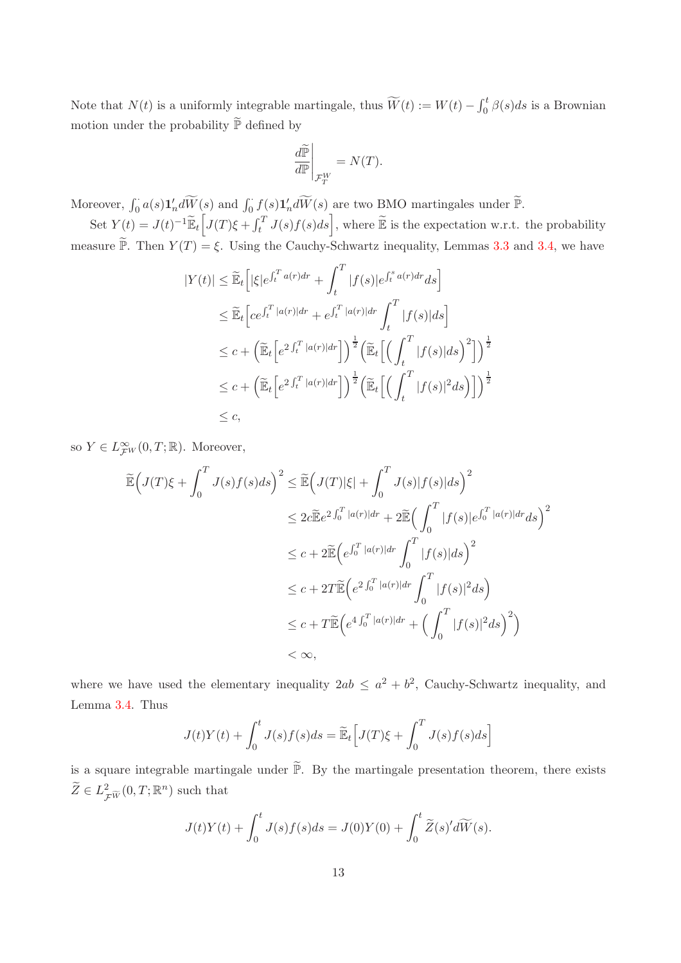Note that  $N(t)$  is a uniformly integrable martingale, thus  $\widetilde{W}(t) := W(t) - \int_0^t \beta(s)ds$  is a Brownian motion under the probability  $\widetilde{\mathbb{P}}$  defined by

$$
\left. \frac{d\widetilde{\mathbb{P}}}{d\mathbb{P}} \right|_{\mathcal{F}_T^W} = N(T).
$$

Moreover,  $\int_0^{\cdot} a(s) \mathbf{1}'_n d\widetilde{W}(s)$  and  $\int_0^{\cdot} f(s) \mathbf{1}'_n d\widetilde{W}(s)$  are two BMO martingales under  $\widetilde{\mathbb{P}}$ .

Set  $Y(t) = J(t)^{-1} \widetilde{\mathbb{E}}_t \left[ J(T) \xi + \int_t^T J(s) f(s) ds \right]$ , where  $\widetilde{\mathbb{E}}$  is the expectation w.r.t. the probability measure  $\widetilde{\mathbb{P}}$ . Then  $Y(T) = \xi$ . Using the Cauchy-Schwartz inequality, Lemmas [3.3](#page-10-1) and [3.4,](#page-11-1) we have

$$
|Y(t)| \leq \widetilde{\mathbb{E}}_t \Big[ |\xi| e^{\int_t^T a(r) dr} + \int_t^T |f(s)| e^{\int_t^s a(r) dr} ds \Big]
$$
  
\n
$$
\leq \widetilde{\mathbb{E}}_t \Big[ c e^{\int_t^T |a(r)| dr} + e^{\int_t^T |a(r)| dr} \int_t^T |f(s)| ds \Big]
$$
  
\n
$$
\leq c + \Big( \widetilde{\mathbb{E}}_t \Big[ e^{2 \int_t^T |a(r)| dr} \Big] \Big)^{\frac{1}{2}} \Big( \widetilde{\mathbb{E}}_t \Big[ \Big( \int_t^T |f(s)| ds \Big)^2 \Big] \Big)^{\frac{1}{2}}
$$
  
\n
$$
\leq c + \Big( \widetilde{\mathbb{E}}_t \Big[ e^{2 \int_t^T |a(r)| dr} \Big] \Big)^{\frac{1}{2}} \Big( \widetilde{\mathbb{E}}_t \Big[ \Big( \int_t^T |f(s)|^2 ds \Big) \Big] \Big)^{\frac{1}{2}}
$$
  
\n
$$
\leq c,
$$

so  $Y \in L^{\infty}_{\mathcal{F}^W}(0,T;\mathbb{R})$ . Moreover,

$$
\widetilde{\mathbb{E}}\Big(J(T)\xi + \int_0^T J(s)f(s)ds\Big)^2 \leq \widetilde{\mathbb{E}}\Big(J(T)|\xi| + \int_0^T J(s)|f(s)|ds\Big)^2
$$
\n
$$
\leq 2c\widetilde{\mathbb{E}}e^{2\int_0^T |a(r)|dr} + 2\widetilde{\mathbb{E}}\Big(\int_0^T |f(s)|e^{\int_0^T |a(r)|dr}ds\Big)^2
$$
\n
$$
\leq c + 2\widetilde{\mathbb{E}}\Big(e^{\int_0^T |a(r)|dr} \int_0^T |f(s)|ds\Big)^2
$$
\n
$$
\leq c + 2T\widetilde{\mathbb{E}}\Big(e^{2\int_0^T |a(r)|dr} \int_0^T |f(s)|^2ds\Big)
$$
\n
$$
\leq c + T\widetilde{\mathbb{E}}\Big(e^{4\int_0^T |a(r)|dr} + \Big(\int_0^T |f(s)|^2ds\Big)^2\Big)
$$
\n
$$
< \infty,
$$

where we have used the elementary inequality  $2ab \le a^2 + b^2$ , Cauchy-Schwartz inequality, and Lemma [3.4.](#page-11-1) Thus

$$
J(t)Y(t) + \int_0^t J(s)f(s)ds = \widetilde{\mathbb{E}}_t \Big[ J(T)\xi + \int_0^T J(s)f(s)ds \Big]
$$

is a square integrable martingale under  $\widetilde{\mathbb{P}}$ . By the martingale presentation theorem, there exists  $\widetilde{Z} \in L^2_{\mathcal{F} \widetilde{W}}(0,T;\mathbb{R}^n)$  such that

$$
J(t)Y(t) + \int_0^t J(s)f(s)ds = J(0)Y(0) + \int_0^t \widetilde{Z}(s)'d\widetilde{W}(s).
$$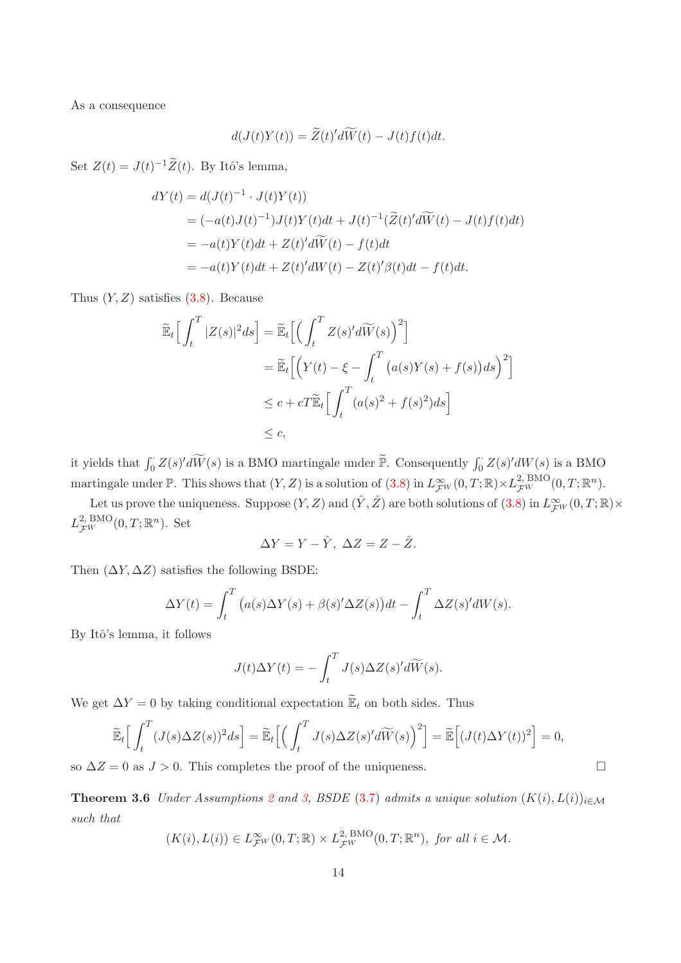As a consequence

$$
d(J(t)Y(t)) = \widetilde{Z}(t)'d\widetilde{W}(t) - J(t)f(t)dt.
$$

Set  $Z(t) = J(t)^{-1} \tilde{Z}(t)$ . By Itô's lemma,

$$
dY(t) = d(J(t)^{-1} \cdot J(t)Y(t))
$$
  
=  $(-a(t)J(t)^{-1})J(t)Y(t)dt + J(t)^{-1}(\widetilde{Z}(t)'\widetilde{dW}(t) - J(t)f(t)dt)$   
=  $-a(t)Y(t)dt + Z(t)'\widetilde{dW}(t) - f(t)dt$   
=  $-a(t)Y(t)dt + Z(t)'\widetilde{dW}(t) - Z(t)'\beta(t)dt - f(t)dt.$ 

Thus  $(Y, Z)$  satisfies  $(3.8)$ . Because

$$
\widetilde{\mathbb{E}}_t \Big[ \int_t^T |Z(s)|^2 ds \Big] = \widetilde{\mathbb{E}}_t \Big[ \Big( \int_t^T Z(s)' d\widetilde{W}(s) \Big)^2 \Big] \n= \widetilde{\mathbb{E}}_t \Big[ \Big( Y(t) - \xi - \int_t^T \big( a(s)Y(s) + f(s) \big) ds \Big)^2 \Big] \n\le c + cT \widetilde{\mathbb{E}}_t \Big[ \int_t^T \big( a(s)^2 + f(s)^2 \big) ds \Big] \n\le c,
$$

it yields that  $\int_0^{\cdot} Z(s)' d\widetilde{W}(s)$  is a BMO martingale under  $\widetilde{\mathbb{P}}$ . Consequently  $\int_0^{\cdot} Z(s)' dW(s)$  is a BMO martingale under  $\mathbb{P}$ . This shows that  $(Y, Z)$  is a solution of  $(3.8)$  in  $L^{\infty}_{\mathcal{F}W}(0,T;\mathbb{R}) \times L^{2, \text{ BMO}}_{\mathcal{F}W}(0,T;\mathbb{R}^n)$ .

Let us prove the uniqueness. Suppose  $(Y, Z)$  and  $(\hat{Y}, \hat{Z})$  are both solutions of  $(3.8)$  in  $L^{\infty}_{\mathcal{F}^{W}}(0, T; \mathbb{R}) \times$  $L_{\mathcal{F}^W}^{2,\,\text{BMO}}(0,T;\mathbb{R}^n)$ . Set

$$
\Delta Y = Y - \hat{Y}, \ \Delta Z = Z - \hat{Z}.
$$

Then  $(\Delta Y, \Delta Z)$  satisfies the following BSDE:

$$
\Delta Y(t) = \int_t^T \left( a(s) \Delta Y(s) + \beta(s)' \Delta Z(s) \right) dt - \int_t^T \Delta Z(s)' dW(s).
$$

By Itô's lemma, it follows

$$
J(t)\Delta Y(t) = -\int_t^T J(s)\Delta Z(s)'d\widetilde{W}(s).
$$

We get  $\Delta Y = 0$  by taking conditional expectation  $\widetilde{\mathbb{E}}_t$  on both sides. Thus

$$
\widetilde{\mathbb{E}}_t\Big[\int_t^T (J(s)\Delta Z(s))^2 ds\Big] = \widetilde{\mathbb{E}}_t\Big[\Big(\int_t^T J(s)\Delta Z(s)'d\widetilde{W}(s)\Big)^2\Big] = \widetilde{\mathbb{E}}\Big[(J(t)\Delta Y(t))^2\Big] = 0,
$$

so  $\Delta Z = 0$  as  $J > 0$ . This completes the proof of the uniqueness.

**Theorem 3.6** *Under Assumptions* [2](#page-7-2) *and* [3,](#page-7-1) *BSDE* [\(3.7\)](#page-10-0) *admits a unique solution*  $(K(i), L(i))_{i \in \mathcal{M}}$ *such that*

$$
(K(i), L(i)) \in L^{\infty}_{\mathcal{F}^W}(0,T;\mathbb{R}) \times L^{2,\,\text{BMO}}_{\mathcal{F}^W}(0,T;\mathbb{R}^n), \text{ for all } i \in \mathcal{M}.
$$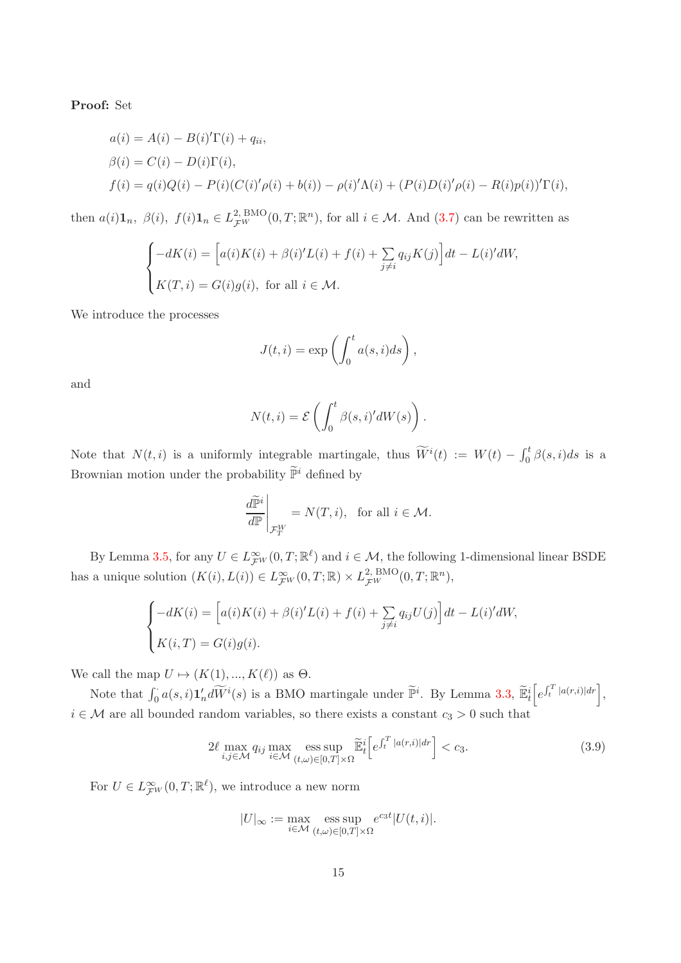Proof: Set

$$
a(i) = A(i) - B(i)'\Gamma(i) + q_{ii},
$$
  
\n
$$
\beta(i) = C(i) - D(i)\Gamma(i),
$$
  
\n
$$
f(i) = q(i)Q(i) - P(i)(C(i)'\rho(i) + b(i)) - \rho(i)'\Lambda(i) + (P(i)D(i)'\rho(i) - R(i)p(i))'\Gamma(i),
$$

then  $a(i) \mathbf{1}_n, \ \beta(i), \ f(i) \mathbf{1}_n \in L^2_{\mathcal{F}^W}^{\text{BMO}}(0,T;\mathbb{R}^n)$ , for all  $i \in \mathcal{M}$ . And  $(3.7)$  can be rewritten as

$$
\begin{cases}\n-dK(i) = \left[a(i)K(i) + \beta(i)'L(i) + f(i) + \sum_{j \neq i} q_{ij}K(j)\right]dt - L(i)'dW, \\
K(T, i) = G(i)g(i), \text{ for all } i \in \mathcal{M}.\n\end{cases}
$$

We introduce the processes

$$
J(t,i) = \exp\left(\int_0^t a(s,i)ds\right),\,
$$

and

$$
N(t,i) = \mathcal{E}\left(\int_0^t \beta(s,i)'dW(s)\right).
$$

Note that  $N(t, i)$  is a uniformly integrable martingale, thus  $\widetilde{W}^i(t) := W(t) - \int_0^t \beta(s, i)ds$  is a Brownian motion under the probability  $\widetilde{\mathbb{P}}^i$  defined by

$$
\left. \frac{d\widetilde{\mathbb{P}}^i}{d\mathbb{P}} \right|_{\mathcal{F}_T^W} = N(T, i), \text{ for all } i \in \mathcal{M}.
$$

By Lemma [3.5,](#page-11-2) for any  $U \in L^{\infty}_{\mathcal{F}W}(0,T;\mathbb{R}^{\ell})$  and  $i \in \mathcal{M}$ , the following 1-dimensional linear BSDE has a unique solution  $(K(i), L(i)) \in L^{\infty}_{\mathcal{F}^W}(0,T;\mathbb{R}) \times L^{2,\text{ BMO}}_{\mathcal{F}^W}(0,T;\mathbb{R}^n)$ ,

$$
\begin{cases}\n-dK(i) = \left[a(i)K(i) + \beta(i)'L(i) + f(i) + \sum_{j \neq i} q_{ij}U(j)\right]dt - L(i)'dW, \\
K(i,T) = G(i)g(i).\n\end{cases}
$$

We call the map  $U \mapsto (K(1), ..., K(\ell))$  as  $\Theta$ .

Note that  $\int_0^{\cdot} a(s,i) \mathbf{1}_n' d\widetilde{W}^i(s)$  is a BMO martingale under  $\widetilde{\mathbb{P}}^i$ . By Lemma [3.3,](#page-10-1)  $\widetilde{\mathbb{E}}_t^i \Big[ e^{\int_t^T |a(r,i)| dr} \Big]$ ,  $i \in \mathcal{M}$  are all bounded random variables, so there exists a constant  $c_3 > 0$  such that

$$
2\ell \max_{i,j \in \mathcal{M}} q_{ij} \max_{i \in \mathcal{M}} \operatorname{ess} \sup_{(t,\omega) \in [0,T] \times \Omega} \tilde{\mathbb{E}}_t^i \Big[ e^{\int_t^T |a(r,i)| dr} \Big] < c_3. \tag{3.9}
$$

For  $U \in L^{\infty}_{\mathcal{F}^{W}}(0,T;\mathbb{R}^{\ell})$ , we introduce a new norm

<span id="page-14-0"></span>
$$
|U|_\infty:=\max_{i\in\mathcal{M}}\underset{(t,\omega)\in[0,T]\times\Omega}{\operatorname{ess\;sup}}e^{c_3t}|U(t,i)|.
$$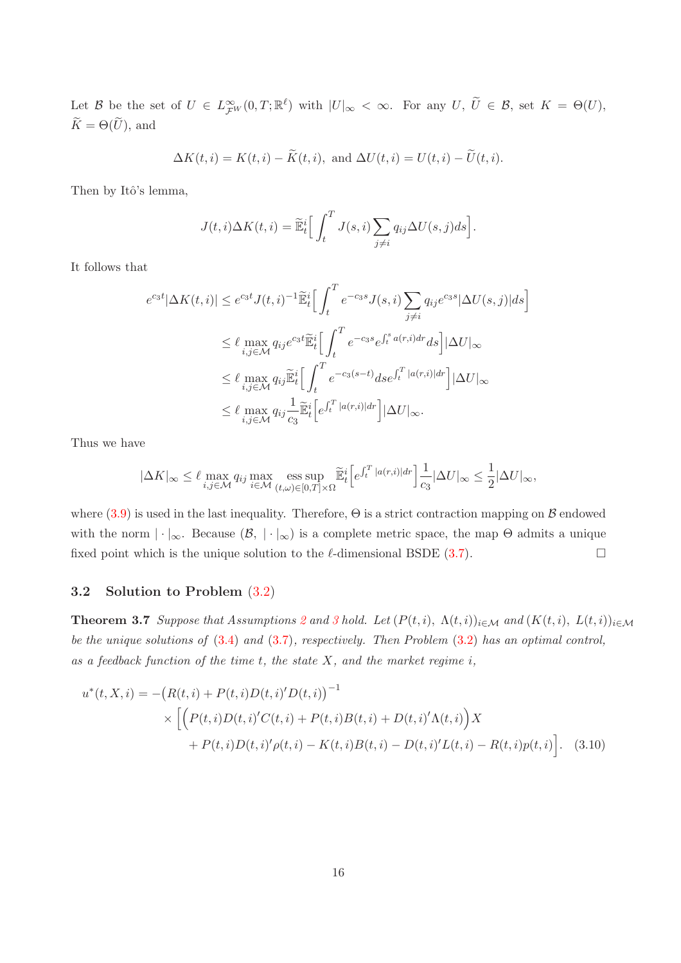Let B be the set of  $U \in L^{\infty}_{\mathcal{F}W}(0,T;\mathbb{R}^{\ell})$  with  $|U|_{\infty} < \infty$ . For any  $U, \ U \in \mathcal{B}$ , set  $K = \Theta(U)$ ,  $\widetilde{K}=\Theta(\widetilde{U}),$  and

$$
\Delta K(t, i) = K(t, i) - \widetilde{K}(t, i), \text{ and } \Delta U(t, i) = U(t, i) - \widetilde{U}(t, i).
$$

Then by Itô's lemma,

$$
J(t,i)\Delta K(t,i) = \widetilde{\mathbb{E}}_t^i \left[ \int_t^T J(s,i) \sum_{j \neq i} q_{ij} \Delta U(s,j) ds \right].
$$

It follows that

$$
e^{c_3t}|\Delta K(t,i)| \leq e^{c_3t} J(t,i)^{-1} \widetilde{\mathbb{E}}_t^i \Big[ \int_t^T e^{-c_3s} J(s,i) \sum_{j \neq i} q_{ij} e^{c_3s} |\Delta U(s,j)| ds \Big]
$$
  
\n
$$
\leq \ell \max_{i,j \in \mathcal{M}} q_{ij} e^{c_3t} \widetilde{\mathbb{E}}_t^i \Big[ \int_t^T e^{-c_3s} e^{\int_t^s a(r,i) dr} ds \Big] |\Delta U|_{\infty}
$$
  
\n
$$
\leq \ell \max_{i,j \in \mathcal{M}} q_{ij} \widetilde{\mathbb{E}}_t^i \Big[ \int_t^T e^{-c_3(s-t)} ds e^{\int_t^T |a(r,i)| dr} \Big] |\Delta U|_{\infty}
$$
  
\n
$$
\leq \ell \max_{i,j \in \mathcal{M}} q_{ij} \frac{1}{c_3} \widetilde{\mathbb{E}}_t^i \Big[ e^{\int_t^T |a(r,i)| dr} \Big] |\Delta U|_{\infty}.
$$

Thus we have

$$
|\Delta K|_\infty \leq \ell \max_{i,j\in\mathcal{M}} q_{ij} \max_{i\in\mathcal{M}} \operatorname*{ess\,sup}_{(t,\omega)\in[0,T]\times\Omega} \widetilde{\mathbb{E}}_t^i \Big[ e^{\int_t^T |a(r,i)|dr} \Big] \frac{1}{c_3} |\Delta U|_\infty \leq \frac{1}{2} |\Delta U|_\infty,
$$

where  $(3.9)$  is used in the last inequality. Therefore,  $\Theta$  is a strict contraction mapping on  $\beta$  endowed with the norm  $|\cdot|_{\infty}$ . Because  $(\mathcal{B}, |\cdot|_{\infty})$  is a complete metric space, the map  $\Theta$  admits a unique fixed point which is the unique solution to the  $\ell$ -dimensional BSDE [\(3.7\)](#page-10-0).

#### <span id="page-15-0"></span>3.2 Solution to Problem [\(3.2\)](#page-7-0)

**Theorem [3](#page-7-1).7** *Suppose that Assumptions* [2](#page-7-2) *and* 3 *hold.* Let  $(P(t, i), \Lambda(t, i))_{i \in \mathcal{M}}$  *and*  $(K(t, i), L(t, i))_{i \in \mathcal{M}}$ *be the unique solutions of* [\(3.4\)](#page-8-0) *and* [\(3.7\)](#page-10-0)*, respectively. Then Problem* [\(3.2\)](#page-7-0) *has an optimal control, as a feedback function of the time* t*, the state* X*, and the market regime* i*,*

<span id="page-15-1"></span>
$$
u^*(t, X, i) = -\left(R(t, i) + P(t, i)D(t, i)D(t, i)\right)^{-1}
$$
  
 
$$
\times \left[\left(P(t, i)D(t, i)C(t, i) + P(t, i)B(t, i) + D(t, i)'\Lambda(t, i)\right)X + P(t, i)D(t, i)P(t, i) - K(t, i)B(t, i) - D(t, i)'L(t, i) - R(t, i)p(t, i)\right].
$$
 (3.10)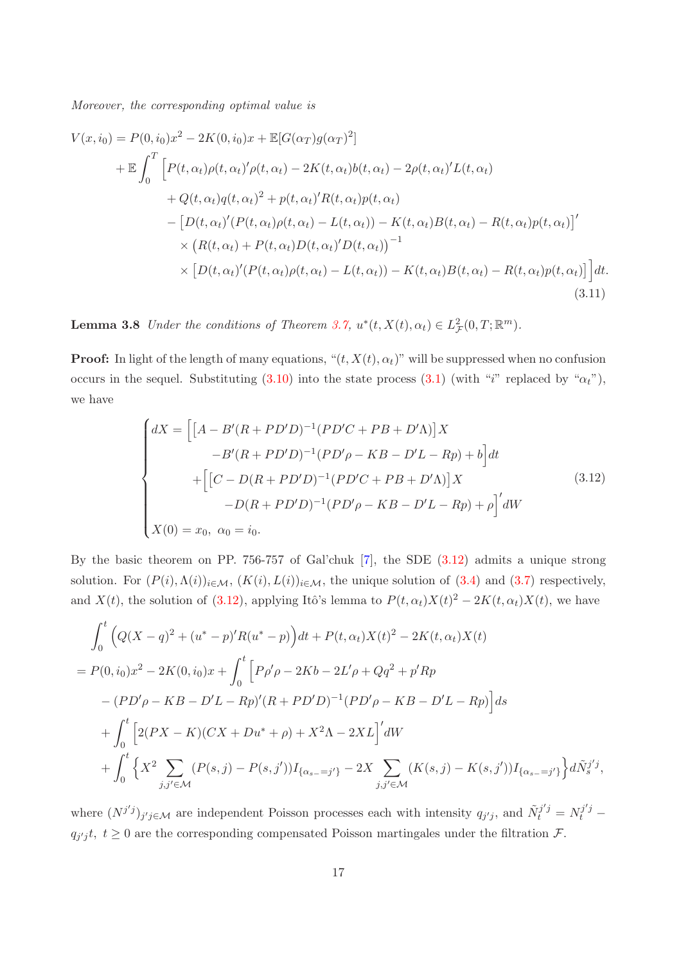*Moreover, the corresponding optimal value is*

$$
V(x, i_0) = P(0, i_0)x^2 - 2K(0, i_0)x + \mathbb{E}[G(\alpha_T)g(\alpha_T)^2]
$$
  
+ 
$$
\mathbb{E} \int_0^T \Big[ P(t, \alpha_t) \rho(t, \alpha_t)' \rho(t, \alpha_t) - 2K(t, \alpha_t) b(t, \alpha_t) - 2\rho(t, \alpha_t)' L(t, \alpha_t)
$$
  
+ 
$$
Q(t, \alpha_t)q(t, \alpha_t)^2 + p(t, \alpha_t)' R(t, \alpha_t) p(t, \alpha_t)
$$
  
- 
$$
\big[ D(t, \alpha_t)' (P(t, \alpha_t) \rho(t, \alpha_t) - L(t, \alpha_t)) - K(t, \alpha_t) B(t, \alpha_t) - R(t, \alpha_t) p(t, \alpha_t) \big]'
$$
  
× 
$$
\big[ R(t, \alpha_t) + P(t, \alpha_t) D(t, \alpha_t)' D(t, \alpha_t) \big]^{-1}
$$
  
× 
$$
\big[ D(t, \alpha_t)' (P(t, \alpha_t) \rho(t, \alpha_t) - L(t, \alpha_t)) - K(t, \alpha_t) B(t, \alpha_t) - R(t, \alpha_t) p(t, \alpha_t) \big] \Big] dt.
$$
\n(3.11)

**Lemma 3.8** *Under the conditions of Theorem [3.7,](#page-15-0)*  $u^*(t, X(t), \alpha_t) \in L^2_{\mathcal{F}}(0,T; \mathbb{R}^m)$ .

**Proof:** In light of the length of many equations, " $(t, X(t), \alpha_t)$ " will be suppressed when no confusion occurs in the sequel. Substituting [\(3.10\)](#page-15-1) into the state process [\(3.1\)](#page-6-1) (with "i" replaced by " $\alpha_t$ "), we have

<span id="page-16-1"></span><span id="page-16-0"></span>
$$
\begin{cases}\ndX = \left[ \left[ A - B'(R + PD'D)^{-1} (PD'C + PB + D'\Lambda) \right] X \\
-B'(R + PD'D)^{-1} (PD'\rho - KB - D'L - Rp) + b \right] dt \\
+ \left[ \left[ C - D(R + PD'D)^{-1} (PD'C + PB + D'\Lambda) \right] X \\
-D(R + PD'D)^{-1} (PD'\rho - KB - D'L - Rp) + \rho \right]' dW\n\end{cases} \tag{3.12}
$$
\n
$$
X(0) = x_0, \ \alpha_0 = i_0.
$$

By the basic theorem on PP. 756-757 of Gal'chuk [\[7](#page-23-13)], the SDE [\(3.12\)](#page-16-0) admits a unique strong solution. For  $(P(i), \Lambda(i))_{i \in \mathcal{M}}$ ,  $(K(i), L(i))_{i \in \mathcal{M}}$ , the unique solution of [\(3.4\)](#page-8-0) and [\(3.7\)](#page-10-0) respectively, and  $X(t)$ , the solution of [\(3.12\)](#page-16-0), applying Itô's lemma to  $P(t, \alpha_t)X(t)^2 - 2K(t, \alpha_t)X(t)$ , we have

$$
\int_{0}^{t} \left( Q(X - q)^{2} + (u^{*} - p)^{'}R(u^{*} - p) \right) dt + P(t, \alpha_{t})X(t)^{2} - 2K(t, \alpha_{t})X(t)
$$
\n
$$
= P(0, i_{0})x^{2} - 2K(0, i_{0})x + \int_{0}^{t} \left[ P\rho'\rho - 2Kb - 2L'\rho + Qq^{2} + p^{\prime}Rp - (PD'\rho - KB - D'L - Rp)^{\prime}(R + PD'D)^{-1}(PD'\rho - KB - D'L - Rp) \right] ds
$$
\n
$$
+ \int_{0}^{t} \left[ 2(PX - K)(CX + Du^{*} + \rho) + X^{2}\Lambda - 2XL \right]^{'} dW
$$
\n
$$
+ \int_{0}^{t} \left\{ X^{2} \sum_{j,j' \in \mathcal{M}} (P(s, j) - P(s, j^{\prime}))I_{\{\alpha_{s} = j'\}} - 2X \sum_{j,j' \in \mathcal{M}} (K(s, j) - K(s, j^{\prime}))I_{\{\alpha_{s} = j'\}} \right\} d\tilde{N}_{s}^{j'j},
$$

where  $(N^{j'j})_{j'j\in\mathcal{M}}$  are independent Poisson processes each with intensity  $q_{j'j}$ , and  $\tilde{N}_t^{j'j} = N_t^{j'j}$  $q_{j'j}t, t \geq 0$  are the corresponding compensated Poisson martingales under the filtration F.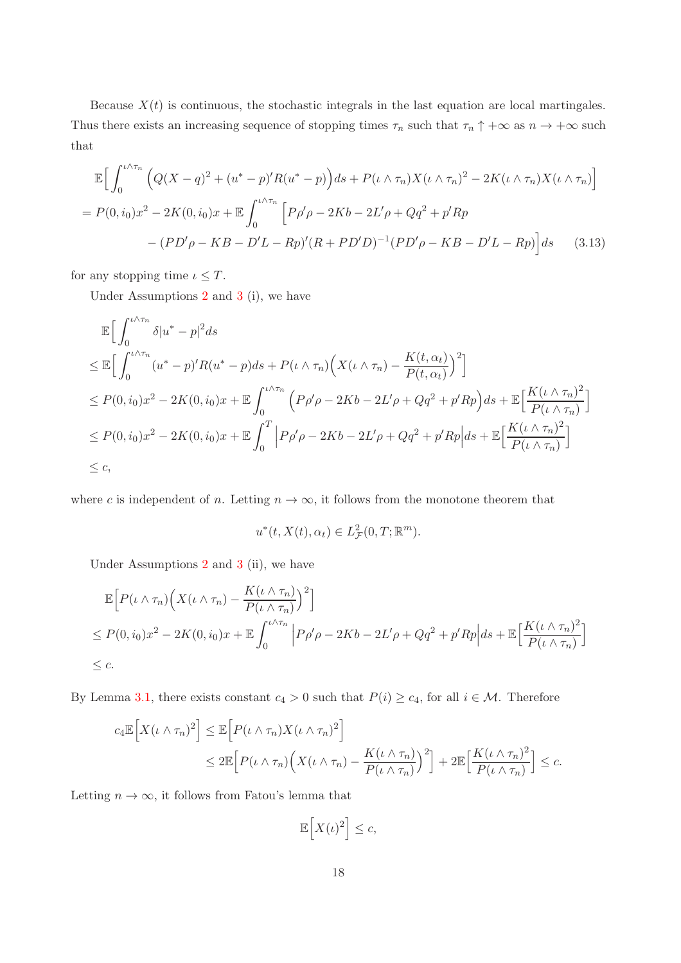Because  $X(t)$  is continuous, the stochastic integrals in the last equation are local martingales. Thus there exists an increasing sequence of stopping times  $\tau_n$  such that  $\tau_n \uparrow +\infty$  as  $n \to +\infty$  such that

$$
\mathbb{E}\Big[\int_0^{t\wedge\tau_n} \Big(Q(X-q)^2 + (u^* - p)'R(u^* - p)\Big)ds + P(\iota \wedge \tau_n)X(\iota \wedge \tau_n)^2 - 2K(\iota \wedge \tau_n)X(\iota \wedge \tau_n)\Big]
$$
  
=  $P(0, i_0)x^2 - 2K(0, i_0)x + \mathbb{E}\int_0^{t\wedge\tau_n} \Big[P\rho'\rho - 2Kb - 2L'\rho + Qq^2 + p'Rp\Big] - (PD'\rho - KB - D'L - Rp)'(R + PD'D)^{-1}(PD'\rho - KB - D'L - Rp)\Big]ds$  (3.13)

for any stopping time  $\iota \leq T$ .

Under Assumptions [2](#page-7-2) and [3](#page-7-1) (i), we have

$$
\mathbb{E}\Big[\int_0^{t\wedge\tau_n} \delta|u^*-p|^2 ds
$$
\n
$$
\leq \mathbb{E}\Big[\int_0^{t\wedge\tau_n} (u^*-p)'R(u^*-p)ds + P(t\wedge\tau_n)\Big(X(t\wedge\tau_n) - \frac{K(t,\alpha_t)}{P(t,\alpha_t)}\Big)^2\Big]
$$
\n
$$
\leq P(0,i_0)x^2 - 2K(0,i_0)x + \mathbb{E}\int_0^{t\wedge\tau_n} \Big(P\rho'\rho - 2Kb - 2L'\rho + Qq^2 + p'Rp\Big)ds + \mathbb{E}\Big[\frac{K(t\wedge\tau_n)^2}{P(t\wedge\tau_n)}\Big]
$$
\n
$$
\leq P(0,i_0)x^2 - 2K(0,i_0)x + \mathbb{E}\int_0^T \Big|P\rho'\rho - 2Kb - 2L'\rho + Qq^2 + p'Rp\Big|ds + \mathbb{E}\Big[\frac{K(t\wedge\tau_n)^2}{P(t\wedge\tau_n)}\Big]
$$
\n
$$
\leq c,
$$

where c is independent of n. Letting  $n \to \infty$ , it follows from the monotone theorem that

$$
u^*(t, X(t), \alpha_t) \in L^2_{\mathcal{F}}(0, T; \mathbb{R}^m).
$$

Under Assumptions [2](#page-7-2) and [3](#page-7-1) (ii), we have

$$
\mathbb{E}\Big[P(\iota \wedge \tau_n)\Big(X(\iota \wedge \tau_n) - \frac{K(\iota \wedge \tau_n)}{P(\iota \wedge \tau_n)}\Big)^2\Big] \leq P(0,i_0)x^2 - 2K(0,i_0)x + \mathbb{E}\int_0^{\iota \wedge \tau_n} \Big|P\rho'\rho - 2Kb - 2L'\rho + Qq^2 + p'Rp\Big|ds + \mathbb{E}\Big[\frac{K(\iota \wedge \tau_n)^2}{P(\iota \wedge \tau_n)}\Big] \leq c.
$$

By Lemma [3.1,](#page-8-1) there exists constant  $c_4 > 0$  such that  $P(i) \ge c_4$ , for all  $i \in \mathcal{M}$ . Therefore

$$
c_4 \mathbb{E}\Big[X(\iota \wedge \tau_n)^2\Big] \leq \mathbb{E}\Big[P(\iota \wedge \tau_n)X(\iota \wedge \tau_n)^2\Big]
$$
  

$$
\leq 2 \mathbb{E}\Big[P(\iota \wedge \tau_n)\Big(X(\iota \wedge \tau_n) - \frac{K(\iota \wedge \tau_n)}{P(\iota \wedge \tau_n)}\Big)^2\Big] + 2 \mathbb{E}\Big[\frac{K(\iota \wedge \tau_n)^2}{P(\iota \wedge \tau_n)}\Big] \leq c.
$$

Letting  $n \to \infty$ , it follows from Fatou's lemma that

$$
\mathbb{E}\Big[X(\iota)^2\Big] \leq c,
$$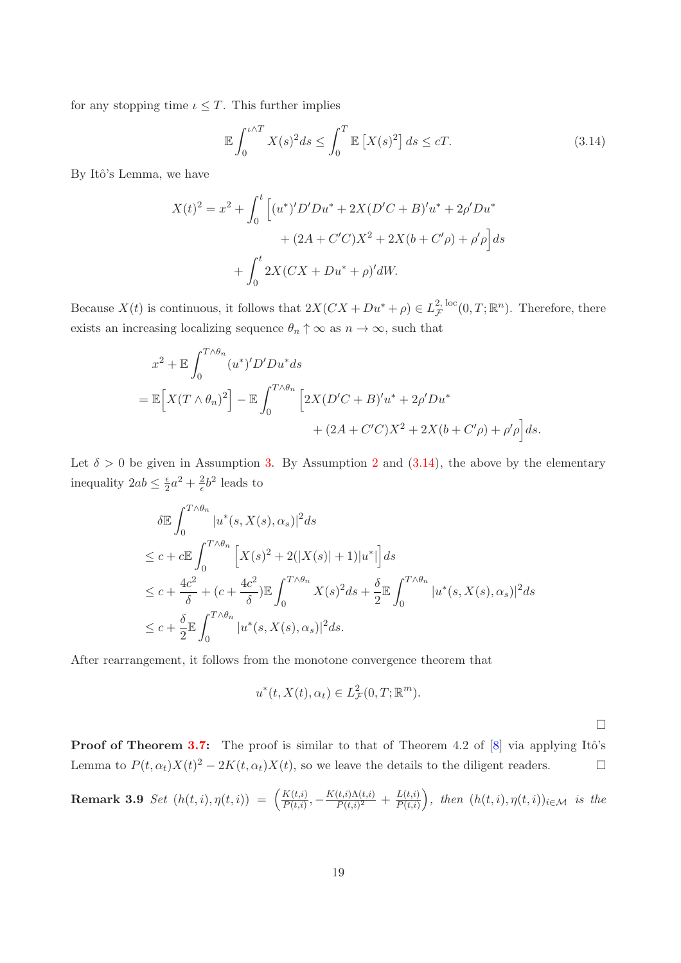for any stopping time  $\iota \leq T$ . This further implies

<span id="page-18-0"></span>
$$
\mathbb{E}\int_0^{t\wedge T} X(s)^2 ds \le \int_0^T \mathbb{E}\left[X(s)^2\right] ds \le cT. \tag{3.14}
$$

By Itô's Lemma, we have

$$
X(t)^{2} = x^{2} + \int_{0}^{t} \left[ (u^{*})'D'Du^{*} + 2X(D'C + B)'u^{*} + 2\rho'Du^{*} + (2A + C'C)X^{2} + 2X(b + C'\rho) + \rho'\rho \right] ds + \int_{0}^{t} 2X(CX + Du^{*} + \rho)'dW.
$$

Because  $X(t)$  is continuous, it follows that  $2X(CX + Du^* + \rho) \in L^{2, \text{loc}}_{\mathcal{F}}$  $_{\mathcal{F}}^{2,\,\text{loc}}(0,T;\mathbb{R}^n)$ . Therefore, there exists an increasing localizing sequence  $\theta_n \uparrow \infty$  as  $n \to \infty$ , such that

$$
x^{2} + \mathbb{E} \int_{0}^{T \wedge \theta_{n}} (u^{*})' D' D u^{*} ds
$$
  
=  $\mathbb{E} \Big[ X(T \wedge \theta_{n})^{2} \Big] - \mathbb{E} \int_{0}^{T \wedge \theta_{n}} \Big[ 2X(D'C + B)' u^{*} + 2\rho' D u^{*} + (2A + C'C) X^{2} + 2X(b + C'\rho) + \rho' \rho \Big] ds.$ 

Let  $\delta > 0$  be given in Assumption [3.](#page-7-1) By Assumption [2](#page-7-2) and [\(3.14\)](#page-18-0), the above by the elementary inequality  $2ab \leq \frac{\epsilon}{2}a^2 + \frac{2}{\epsilon}b^2$  leads to

$$
\delta \mathbb{E} \int_0^{T \wedge \theta_n} |u^*(s, X(s), \alpha_s)|^2 ds
$$
  
\n
$$
\leq c + c \mathbb{E} \int_0^{T \wedge \theta_n} \left[ X(s)^2 + 2(|X(s)| + 1)|u^*| \right] ds
$$
  
\n
$$
\leq c + \frac{4c^2}{\delta} + (c + \frac{4c^2}{\delta}) \mathbb{E} \int_0^{T \wedge \theta_n} X(s)^2 ds + \frac{\delta}{2} \mathbb{E} \int_0^{T \wedge \theta_n} |u^*(s, X(s), \alpha_s)|^2 ds
$$
  
\n
$$
\leq c + \frac{\delta}{2} \mathbb{E} \int_0^{T \wedge \theta_n} |u^*(s, X(s), \alpha_s)|^2 ds.
$$

After rearrangement, it follows from the monotone convergence theorem that

$$
u^*(t, X(t), \alpha_t) \in L^2_{\mathcal{F}}(0, T; \mathbb{R}^m).
$$

 $\Box$ 

**Proof of Theorem [3.7:](#page-15-0)** The proof is similar to that of Theorem 4.2 of  $[8]$  via applying Itô's Lemma to  $P(t, \alpha_t)X(t)^2 - 2K(t, \alpha_t)X(t)$ , so we leave the details to the diligent readers.

**Remark 3.9** Set 
$$
(h(t, i), \eta(t, i)) = \left(\frac{K(t, i)}{P(t, i)}, -\frac{K(t, i)\Lambda(t, i)}{P(t, i)^2} + \frac{L(t, i)}{P(t, i)}\right)
$$
, then  $(h(t, i), \eta(t, i))_{i \in \mathcal{M}}$  is the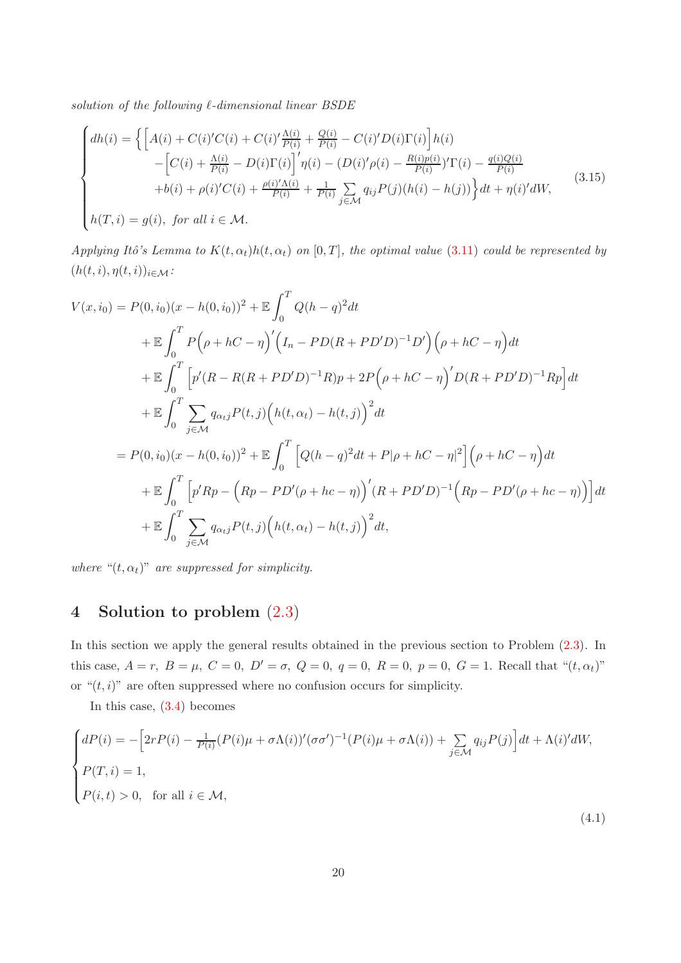*solution of the following* ℓ*-dimensional linear BSDE*

<span id="page-19-0"></span>
$$
\begin{cases}\n dh(i) = \left\{ \left[ A(i) + C(i)'C(i) + C(i)' \frac{\Lambda(i)}{P(i)} + \frac{Q(i)}{P(i)} - C(i)'D(i)\Gamma(i) \right] h(i) - \left[ C(i) + \frac{\Lambda(i)}{P(i)} - D(i)\Gamma(i) \right]' \eta(i) - (D(i)' \rho(i) - \frac{R(i)\rho(i)}{P(i)})' \Gamma(i) - \frac{q(i)Q(i)}{P(i)} + b(i) + \rho(i)'C(i) + \frac{\rho(i)' \Lambda(i)}{P(i)} + \frac{1}{P(i)} \sum_{j \in \mathcal{M}} q_{ij} P(j) (h(i) - h(j)) \right\} dt + \eta(i)' dW, \\
 h(T, i) = g(i), \text{ for all } i \in \mathcal{M}.\n\end{cases} \tag{3.15}
$$

*Applying Itô's Lemma to*  $K(t, \alpha_t)h(t, \alpha_t)$  *on* [0, T], the *optimal value* [\(3.11\)](#page-16-1) *could be represented by*  $(h(t, i), \eta(t, i))_{i \in \mathcal{M}}$ :

$$
V(x, i_0) = P(0, i_0)(x - h(0, i_0))^2 + \mathbb{E} \int_0^T Q(h - q)^2 dt
$$
  
+  $\mathbb{E} \int_0^T P(\rho + hC - \eta)'(I_n - PD(R + PD'D)^{-1}D')(\rho + hC - \eta) dt$   
+  $\mathbb{E} \int_0^T \left[ p'(R - R(R + PD'D)^{-1}R)p + 2P(\rho + hC - \eta)'D(R + PD'D)^{-1}Rp \right] dt$   
+  $\mathbb{E} \int_0^T \sum_{j \in \mathcal{M}} q_{\alpha j} P(t, j) (h(t, \alpha_t) - h(t, j))^2 dt$   
=  $P(0, i_0)(x - h(0, i_0))^2 + \mathbb{E} \int_0^T \left[ Q(h - q)^2 dt + P|\rho + hC - \eta|^2 \right] (\rho + hC - \eta) dt$   
+  $\mathbb{E} \int_0^T \left[ p'Rp - (Rp - PD'(\rho + hc - \eta))'(R + PD'D)^{-1} (Rp - PD'(\rho + hc - \eta)) \right] dt$   
+  $\mathbb{E} \int_0^T \sum_{j \in \mathcal{M}} q_{\alpha j} P(t, j) (h(t, \alpha_t) - h(t, j))^2 dt$ ,

*where* " $(t, \alpha_t)$ " *are suppressed for simplicity.* 

# 4 Solution to problem [\(2.3\)](#page-5-0)

In this section we apply the general results obtained in the previous section to Problem  $(2.3)$ . In this case,  $A = r$ ,  $B = \mu$ ,  $C = 0$ ,  $D' = \sigma$ ,  $Q = 0$ ,  $q = 0$ ,  $R = 0$ ,  $p = 0$ ,  $G = 1$ . Recall that " $(t, \alpha_t)$ " or " $(t, i)$ " are often suppressed where no confusion occurs for simplicity.

<span id="page-19-1"></span>In this case, [\(3.4\)](#page-8-0) becomes

$$
\begin{cases}\ndP(i) = -\left[2rP(i) - \frac{1}{P(i)}(P(i)\mu + \sigma\Lambda(i))'(\sigma\sigma)^{-1}(P(i)\mu + \sigma\Lambda(i)) + \sum_{j \in \mathcal{M}} q_{ij}P(j)\right]dt + \Lambda(i)'dW, \\
P(T, i) = 1, \\
P(i, t) > 0, \text{ for all } i \in \mathcal{M},\n\end{cases}
$$
\n(4.1)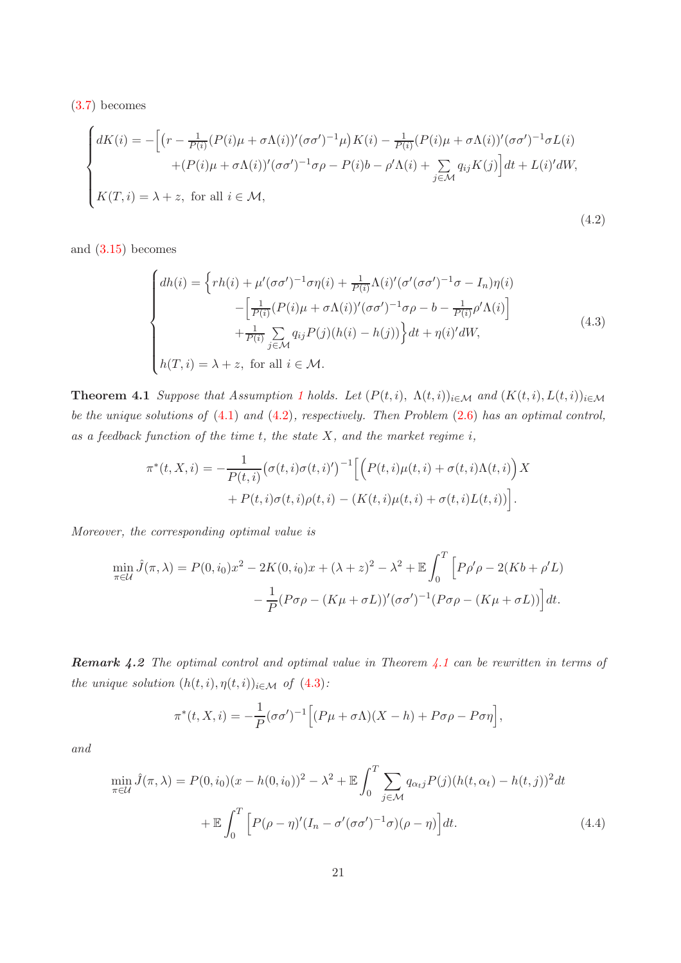[\(3.7\)](#page-10-0) becomes

$$
\begin{cases}\ndK(i) = -\left[ \left( r - \frac{1}{P(i)} (P(i)\mu + \sigma \Lambda(i))' (\sigma \sigma')^{-1} \mu \right) K(i) - \frac{1}{P(i)} (P(i)\mu + \sigma \Lambda(i))' (\sigma \sigma')^{-1} \sigma L(i) \right. \\
\left. + (P(i)\mu + \sigma \Lambda(i))' (\sigma \sigma')^{-1} \sigma \rho - P(i)b - \rho' \Lambda(i) + \sum_{j \in \mathcal{M}} q_{ij} K(j) \right] dt + L(i)' dW, \\
K(T, i) = \lambda + z, \text{ for all } i \in \mathcal{M},\n\end{cases} \tag{4.2}
$$

and [\(3.15\)](#page-19-0) becomes

<span id="page-20-2"></span><span id="page-20-0"></span>
$$
\begin{cases}\n dh(i) = \left\{ rh(i) + \mu'(\sigma\sigma')^{-1}\sigma\eta(i) + \frac{1}{P(i)}\Lambda(i)'(\sigma'(\sigma\sigma')^{-1}\sigma - I_n)\eta(i) \right. \\
\left. - \left[ \frac{1}{P(i)}(P(i)\mu + \sigma\Lambda(i))'(\sigma\sigma')^{-1}\sigma\rho - b - \frac{1}{P(i)}\rho'\Lambda(i) \right] \\
\left. + \frac{1}{P(i)}\sum_{j \in \mathcal{M}} q_{ij}P(j)(h(i) - h(j)) \right\} dt + \eta(i)'dW,\n\end{cases} \tag{4.3}
$$
\n
$$
h(T, i) = \lambda + z, \text{ for all } i \in \mathcal{M}.
$$

<span id="page-20-1"></span>**Theorem 4.[1](#page-4-0)** *Suppose that Assumption 1 holds. Let*  $(P(t, i), \Lambda(t, i))_{i \in \mathcal{M}}$  *and*  $(K(t, i), L(t, i))_{i \in \mathcal{M}}$ *be the unique solutions of* [\(4.1\)](#page-19-1) *and* [\(4.2\)](#page-20-0)*, respectively. Then Problem* [\(2.6\)](#page-6-0) *has an optimal control, as a feedback function of the time* t*, the state* X*, and the market regime* i*,*

$$
\pi^*(t, X, i) = -\frac{1}{P(t, i)} (\sigma(t, i)\sigma(t, i)')^{-1} \Big[ \Big( P(t, i)\mu(t, i) + \sigma(t, i)\Lambda(t, i) \Big) X + P(t, i)\sigma(t, i)\rho(t, i) - \big( K(t, i)\mu(t, i) + \sigma(t, i)L(t, i) \big) \Big].
$$

*Moreover, the corresponding optimal value is*

$$
\min_{\pi \in \mathcal{U}} \hat{J}(\pi, \lambda) = P(0, i_0)x^2 - 2K(0, i_0)x + (\lambda + z)^2 - \lambda^2 + \mathbb{E} \int_0^T \left[ P\rho' \rho - 2(Kb + \rho'L) - \frac{1}{P}(P\sigma \rho - (K\mu + \sigma L))'(\sigma \sigma')^{-1}(P\sigma \rho - (K\mu + \sigma L)) \right] dt.
$$

Remark 4.2 *The optimal control and optimal value in Theorem [4.1](#page-20-1) can be rewritten in terms of the unique solution*  $(h(t, i), \eta(t, i))_{i \in \mathcal{M}}$  *of*  $(4.3)$ *:* 

<span id="page-20-3"></span>
$$
\pi^*(t, X, i) = -\frac{1}{P} (\sigma \sigma')^{-1} \Big[ (P\mu + \sigma \Lambda)(X - h) + P\sigma \rho - P\sigma \eta \Big],
$$

*and*

$$
\min_{\pi \in \mathcal{U}} \hat{J}(\pi, \lambda) = P(0, i_0)(x - h(0, i_0))^2 - \lambda^2 + \mathbb{E} \int_0^T \sum_{j \in \mathcal{M}} q_{\alpha_{t}j} P(j) (h(t, \alpha_t) - h(t, j))^2 dt
$$

$$
+ \mathbb{E} \int_0^T \left[ P(\rho - \eta)' (I_n - \sigma'(\sigma \sigma')^{-1} \sigma)(\rho - \eta) \right] dt. \tag{4.4}
$$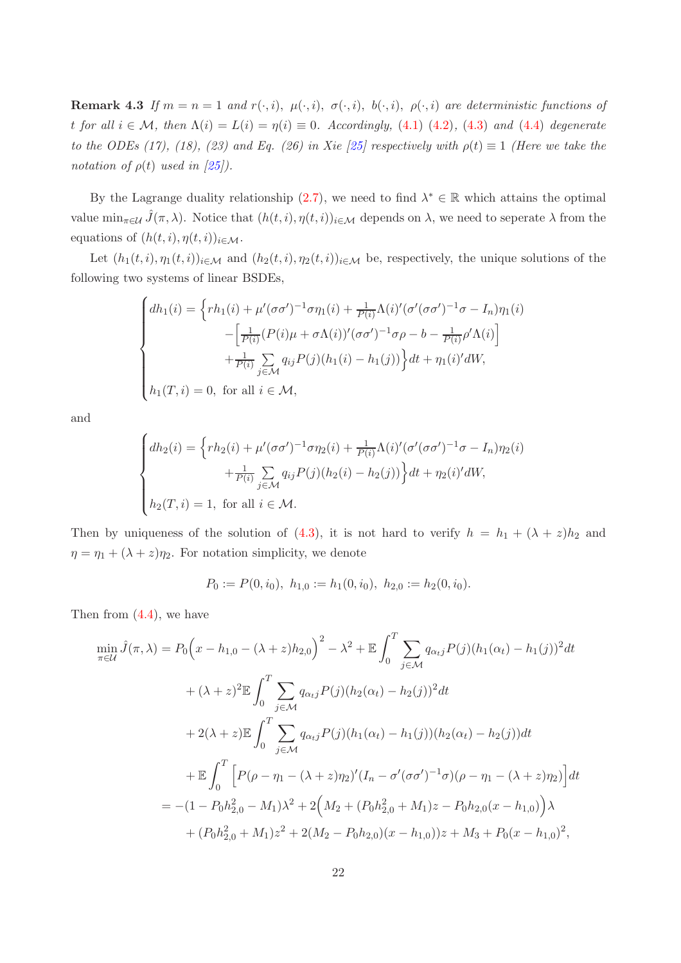**Remark 4.3** If  $m = n = 1$  and  $r(\cdot, i)$ ,  $\mu(\cdot, i)$ ,  $\sigma(\cdot, i)$ ,  $\mu(\cdot, i)$ ,  $\rho(\cdot, i)$  are deterministic functions of t for all  $i \in \mathcal{M}$ , then  $\Lambda(i) = L(i) = \eta(i) \equiv 0$ . Accordingly, [\(4.1\)](#page-19-1) [\(4.2\)](#page-20-0), [\(4.3\)](#page-20-2) and [\(4.4\)](#page-20-3) degenerate *to the ODEs (17), (18), (23) and Eq. (26) in Xie [\[25\]](#page-24-7) respectively with*  $\rho(t) \equiv 1$  *(Here we take the notation of*  $\rho(t)$  *used in*  $\sqrt{25}$ .

By the Lagrange duality relationship  $(2.7)$ , we need to find  $\lambda^* \in \mathbb{R}$  which attains the optimal value  $\min_{\pi \in \mathcal{U}} \hat{J}(\pi, \lambda)$ . Notice that  $(h(t, i), \eta(t, i))_{i \in \mathcal{M}}$  depends on  $\lambda$ , we need to seperate  $\lambda$  from the equations of  $(h(t, i), \eta(t, i))_{i \in \mathcal{M}}$ .

Let  $(h_1(t, i), \eta_1(t, i))_{i \in \mathcal{M}}$  and  $(h_2(t, i), \eta_2(t, i))_{i \in \mathcal{M}}$  be, respectively, the unique solutions of the following two systems of linear BSDEs,

$$
\begin{cases}\ndh_1(i) = \left\{ rh_1(i) + \mu'(\sigma\sigma')^{-1}\sigma\eta_1(i) + \frac{1}{P(i)}\Lambda(i)'(\sigma'(\sigma\sigma')^{-1}\sigma - I_n)\eta_1(i) \right. \\
\left. - \left[ \frac{1}{P(i)}(P(i)\mu + \sigma\Lambda(i))'(\sigma\sigma')^{-1}\sigma\rho - b - \frac{1}{P(i)}\rho'\Lambda(i) \right] \\
\left. + \frac{1}{P(i)}\sum_{j \in \mathcal{M}} q_{ij}P(j)(h_1(i) - h_1(j)) \right\} dt + \eta_1(i)'dW, \\
h_1(T, i) = 0, \text{ for all } i \in \mathcal{M},\n\end{cases}
$$

and

$$
\begin{cases}\n dh_2(i) = \left\{ rh_2(i) + \mu'(\sigma\sigma')^{-1}\sigma\eta_2(i) + \frac{1}{P(i)}\Lambda(i)'(\sigma'(\sigma\sigma')^{-1}\sigma - I_n)\eta_2(i) \right. \\
\left. + \frac{1}{P(i)}\sum_{j\in\mathcal{M}} q_{ij}P(j)(h_2(i) - h_2(j)) \right\} dt + \eta_2(i)'dW, \\
 h_2(T, i) = 1, \text{ for all } i \in \mathcal{M}.\n\end{cases}
$$

Then by uniqueness of the solution of  $(4.3)$ , it is not hard to verify  $h = h_1 + (\lambda + z)h_2$  and  $\eta = \eta_1 + (\lambda + z)\eta_2$ . For notation simplicity, we denote

$$
P_0 := P(0, i_0), \ h_{1,0} := h_1(0, i_0), \ h_{2,0} := h_2(0, i_0).
$$

Then from  $(4.4)$ , we have

$$
\min_{\pi \in \mathcal{U}} \hat{J}(\pi, \lambda) = P_0 \left( x - h_{1,0} - (\lambda + z) h_{2,0} \right)^2 - \lambda^2 + \mathbb{E} \int_0^T \sum_{j \in \mathcal{M}} q_{\alpha_j} P(j) (h_1(\alpha_t) - h_1(j))^2 dt
$$
  
+  $(\lambda + z)^2 \mathbb{E} \int_0^T \sum_{j \in \mathcal{M}} q_{\alpha_j} P(j) (h_2(\alpha_t) - h_2(j))^2 dt$   
+  $2(\lambda + z) \mathbb{E} \int_0^T \sum_{j \in \mathcal{M}} q_{\alpha_j} P(j) (h_1(\alpha_t) - h_1(j)) (h_2(\alpha_t) - h_2(j)) dt$   
+  $\mathbb{E} \int_0^T \left[ P(\rho - \eta_1 - (\lambda + z) \eta_2)' (I_n - \sigma'(\sigma \sigma')^{-1} \sigma) (\rho - \eta_1 - (\lambda + z) \eta_2) \right] dt$   
=  $-(1 - P_0 h_{2,0}^2 - M_1) \lambda^2 + 2 \Big( M_2 + (P_0 h_{2,0}^2 + M_1) z - P_0 h_{2,0} (x - h_{1,0}) \Big) \lambda$   
+  $(P_0 h_{2,0}^2 + M_1) z^2 + 2(M_2 - P_0 h_{2,0}) (x - h_{1,0}) z + M_3 + P_0 (x - h_{1,0})^2,$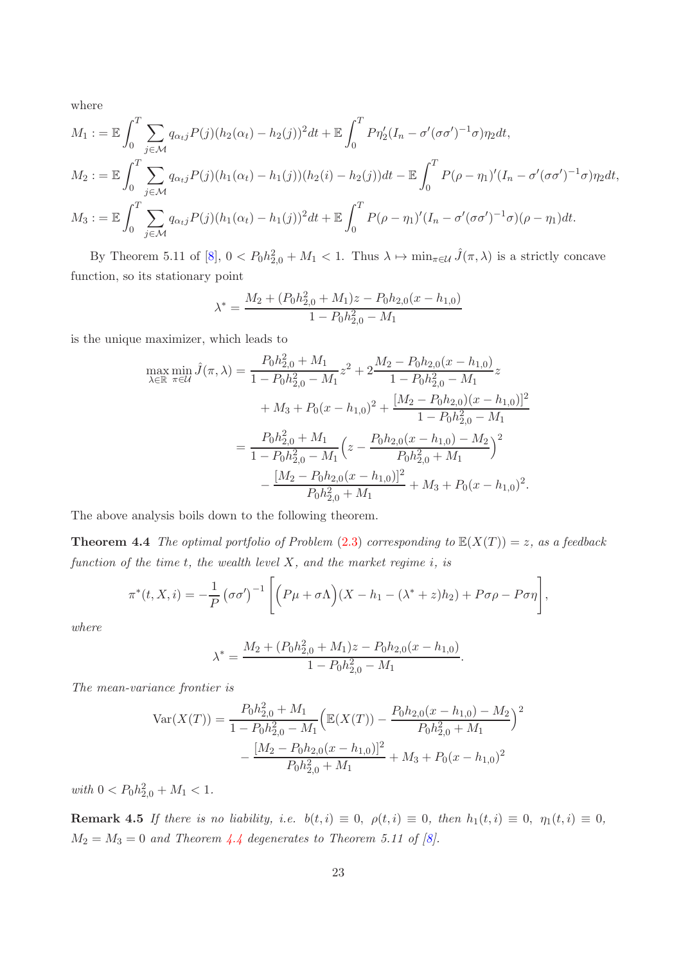where

$$
M_1 := \mathbb{E} \int_0^T \sum_{j \in \mathcal{M}} q_{\alpha_{t}j} P(j) (h_2(\alpha_t) - h_2(j))^2 dt + \mathbb{E} \int_0^T P \eta_2'(I_n - \sigma'(\sigma \sigma')^{-1} \sigma) \eta_2 dt,
$$
  
\n
$$
M_2 := \mathbb{E} \int_0^T \sum_{j \in \mathcal{M}} q_{\alpha_{t}j} P(j) (h_1(\alpha_t) - h_1(j)) (h_2(i) - h_2(j)) dt - \mathbb{E} \int_0^T P(\rho - \eta_1)' (I_n - \sigma'(\sigma \sigma')^{-1} \sigma) \eta_2 dt,
$$
  
\n
$$
M_3 := \mathbb{E} \int_0^T \sum_{j \in \mathcal{M}} q_{\alpha_{t}j} P(j) (h_1(\alpha_t) - h_1(j))^2 dt + \mathbb{E} \int_0^T P(\rho - \eta_1)' (I_n - \sigma'(\sigma \sigma')^{-1} \sigma) (\rho - \eta_1) dt.
$$

By Theorem 5.11 of [\[8](#page-23-10)],  $0 < P_0 h_{2,0}^2 + M_1 < 1$ . Thus  $\lambda \mapsto \min_{\pi \in \mathcal{U}} \hat{J}(\pi, \lambda)$  is a strictly concave function, so its stationary point

$$
\lambda^* = \frac{M_2 + (P_0 h_{2,0}^2 + M_1)z - P_0 h_{2,0}(x - h_{1,0})}{1 - P_0 h_{2,0}^2 - M_1}
$$

is the unique maximizer, which leads to

$$
\max_{\lambda \in \mathbb{R}} \min_{\pi \in \mathcal{U}} \hat{J}(\pi, \lambda) = \frac{P_0 h_{2,0}^2 + M_1}{1 - P_0 h_{2,0}^2 - M_1} z^2 + 2 \frac{M_2 - P_0 h_{2,0}(x - h_{1,0})}{1 - P_0 h_{2,0}^2 - M_1} z
$$

$$
+ M_3 + P_0(x - h_{1,0})^2 + \frac{[M_2 - P_0 h_{2,0})(x - h_{1,0})]^2}{1 - P_0 h_{2,0}^2 - M_1}
$$

$$
= \frac{P_0 h_{2,0}^2 + M_1}{1 - P_0 h_{2,0}^2 - M_1} \left( z - \frac{P_0 h_{2,0}(x - h_{1,0}) - M_2}{P_0 h_{2,0}^2 + M_1} \right)^2
$$

$$
- \frac{[M_2 - P_0 h_{2,0}(x - h_{1,0})]^2}{P_0 h_{2,0}^2 + M_1} + M_3 + P_0(x - h_{1,0})^2.
$$

The above analysis boils down to the following theorem.

**Theorem 4.4** *The optimal portfolio of Problem*  $(2.3)$  *corresponding to*  $\mathbb{E}(X(T)) = z$ *, as a feedback function of the time* t*, the wealth level* X*, and the market regime* i*, is*

$$
\pi^*(t, X, i) = -\frac{1}{P} (\sigma \sigma')^{-1} \left[ \left( P\mu + \sigma \Lambda \right) (X - h_1 - (\lambda^* + z)h_2) + P\sigma \rho - P\sigma \eta \right],
$$

*where*

<span id="page-22-0"></span>
$$
\lambda^* = \frac{M_2 + (P_0 h_{2,0}^2 + M_1)z - P_0 h_{2,0}(x - h_{1,0})}{1 - P_0 h_{2,0}^2 - M_1}.
$$

*The mean-variance frontier is*

$$
Var(X(T)) = \frac{P_0 h_{2,0}^2 + M_1}{1 - P_0 h_{2,0}^2 - M_1} \left( \mathbb{E}(X(T)) - \frac{P_0 h_{2,0}(x - h_{1,0}) - M_2}{P_0 h_{2,0}^2 + M_1} \right)^2
$$

$$
- \frac{[M_2 - P_0 h_{2,0}(x - h_{1,0})]^2}{P_0 h_{2,0}^2 + M_1} + M_3 + P_0(x - h_{1,0})^2
$$

 $with \ 0 < P_0 h_{2,0}^2 + M_1 < 1.$ 

**Remark 4.5** *If there is no liability, i.e.*  $b(t, i) \equiv 0$ ,  $\rho(t, i) \equiv 0$ , then  $h_1(t, i) \equiv 0$ ,  $\eta_1(t, i) \equiv 0$ ,  $M_2 = M_3 = 0$  *and Theorem [4.4](#page-22-0) degenerates to Theorem 5.11 of [\[8\]](#page-23-10).*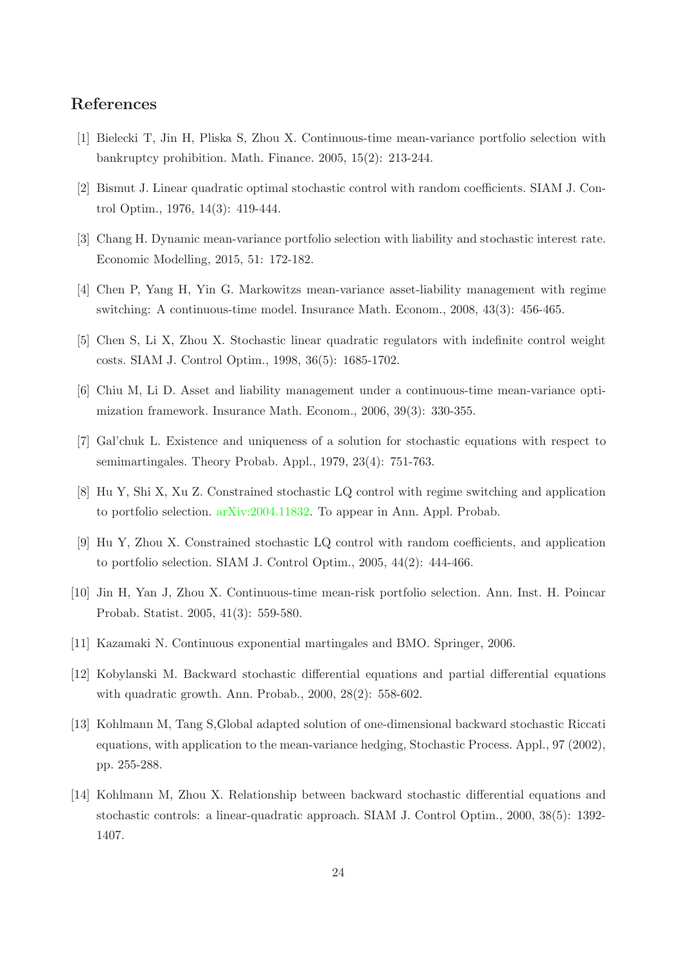## References

- <span id="page-23-0"></span>[1] Bielecki T, Jin H, Pliska S, Zhou X. Continuous-time mean-variance portfolio selection with bankruptcy prohibition. Math. Finance. 2005, 15(2): 213-244.
- <span id="page-23-5"></span>[2] Bismut J. Linear quadratic optimal stochastic control with random coefficients. SIAM J. Control Optim., 1976, 14(3): 419-444.
- <span id="page-23-3"></span>[3] Chang H. Dynamic mean-variance portfolio selection with liability and stochastic interest rate. Economic Modelling, 2015, 51: 172-182.
- <span id="page-23-4"></span>[4] Chen P, Yang H, Yin G. Markowitzs mean-variance asset-liability management with regime switching: A continuous-time model. Insurance Math. Econom., 2008, 43(3): 456-465.
- <span id="page-23-7"></span>[5] Chen S, Li X, Zhou X. Stochastic linear quadratic regulators with indefinite control weight costs. SIAM J. Control Optim., 1998, 36(5): 1685-1702.
- <span id="page-23-2"></span>[6] Chiu M, Li D. Asset and liability management under a continuous-time mean-variance optimization framework. Insurance Math. Econom., 2006, 39(3): 330-355.
- <span id="page-23-13"></span>[7] Gal'chuk L. Existence and uniqueness of a solution for stochastic equations with respect to semimartingales. Theory Probab. Appl., 1979, 23(4): 751-763.
- <span id="page-23-10"></span>[8] Hu Y, Shi X, Xu Z. Constrained stochastic LQ control with regime switching and application to portfolio selection. [arXiv:2004.11832.](http://arxiv.org/abs/2004.11832) To appear in Ann. Appl. Probab.
- <span id="page-23-9"></span>[9] Hu Y, Zhou X. Constrained stochastic LQ control with random coefficients, and application to portfolio selection. SIAM J. Control Optim., 2005, 44(2): 444-466.
- <span id="page-23-1"></span>[10] Jin H, Yan J, Zhou X. Continuous-time mean-risk portfolio selection. Ann. Inst. H. Poincar Probab. Statist. 2005, 41(3): 559-580.
- <span id="page-23-11"></span>[11] Kazamaki N. Continuous exponential martingales and BMO. Springer, 2006.
- <span id="page-23-12"></span>[12] Kobylanski M. Backward stochastic differential equations and partial differential equations with quadratic growth. Ann. Probab., 2000, 28(2): 558-602.
- <span id="page-23-6"></span>[13] Kohlmann M, Tang S,Global adapted solution of one-dimensional backward stochastic Riccati equations, with application to the mean-variance hedging, Stochastic Process. Appl., 97 (2002), pp. 255-288.
- <span id="page-23-8"></span>[14] Kohlmann M, Zhou X. Relationship between backward stochastic differential equations and stochastic controls: a linear-quadratic approach. SIAM J. Control Optim., 2000, 38(5): 1392- 1407.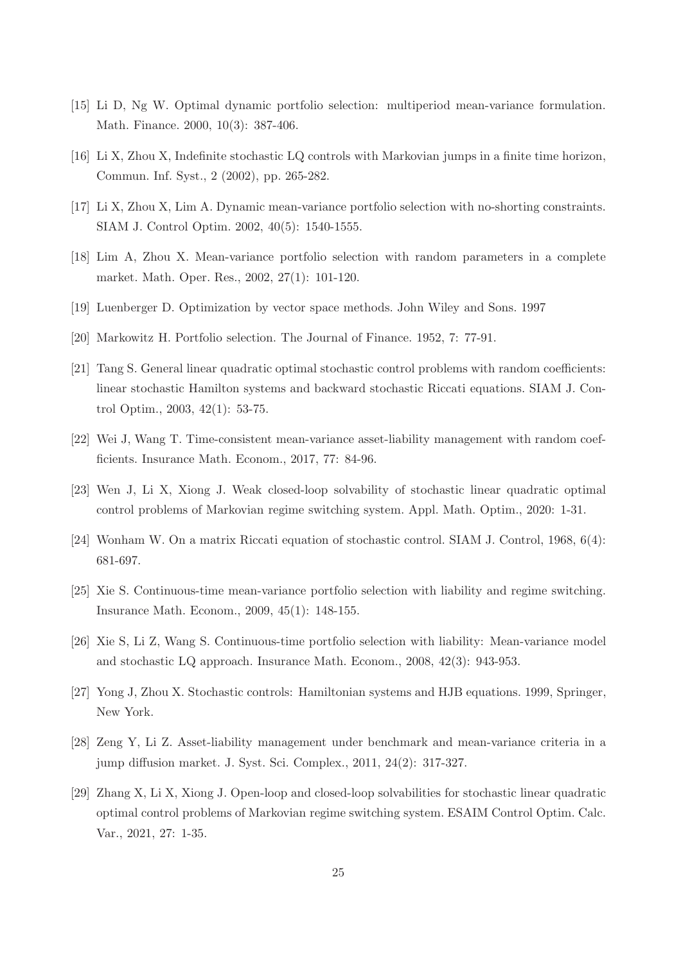- <span id="page-24-1"></span>[15] Li D, Ng W. Optimal dynamic portfolio selection: multiperiod mean-variance formulation. Math. Finance. 2000, 10(3): 387-406.
- <span id="page-24-11"></span>[16] Li X, Zhou X, Indefinite stochastic LQ controls with Markovian jumps in a finite time horizon, Commun. Inf. Syst., 2 (2002), pp. 265-282.
- <span id="page-24-2"></span>[17] Li X, Zhou X, Lim A. Dynamic mean-variance portfolio selection with no-shorting constraints. SIAM J. Control Optim. 2002, 40(5): 1540-1555.
- <span id="page-24-3"></span>[18] Lim A, Zhou X. Mean-variance portfolio selection with random parameters in a complete market. Math. Oper. Res., 2002, 27(1): 101-120.
- <span id="page-24-14"></span>[19] Luenberger D. Optimization by vector space methods. John Wiley and Sons. 1997
- <span id="page-24-0"></span>[20] Markowitz H. Portfolio selection. The Journal of Finance. 1952, 7: 77-91.
- <span id="page-24-9"></span>[21] Tang S. General linear quadratic optimal stochastic control problems with random coefficients: linear stochastic Hamilton systems and backward stochastic Riccati equations. SIAM J. Control Optim., 2003, 42(1): 53-75.
- <span id="page-24-5"></span>[22] Wei J, Wang T. Time-consistent mean-variance asset-liability management with random coefficients. Insurance Math. Econom., 2017, 77: 84-96.
- <span id="page-24-12"></span>[23] Wen J, Li X, Xiong J. Weak closed-loop solvability of stochastic linear quadratic optimal control problems of Markovian regime switching system. Appl. Math. Optim., 2020: 1-31.
- <span id="page-24-8"></span>[24] Wonham W. On a matrix Riccati equation of stochastic control. SIAM J. Control, 1968, 6(4): 681-697.
- <span id="page-24-7"></span>[25] Xie S. Continuous-time mean-variance portfolio selection with liability and regime switching. Insurance Math. Econom., 2009, 45(1): 148-155.
- <span id="page-24-4"></span>[26] Xie S, Li Z, Wang S. Continuous-time portfolio selection with liability: Mean-variance model and stochastic LQ approach. Insurance Math. Econom., 2008, 42(3): 943-953.
- <span id="page-24-10"></span>[27] Yong J, Zhou X. Stochastic controls: Hamiltonian systems and HJB equations. 1999, Springer, New York.
- <span id="page-24-6"></span>[28] Zeng Y, Li Z. Asset-liability management under benchmark and mean-variance criteria in a jump diffusion market. J. Syst. Sci. Complex., 2011, 24(2): 317-327.
- <span id="page-24-13"></span>[29] Zhang X, Li X, Xiong J. Open-loop and closed-loop solvabilities for stochastic linear quadratic optimal control problems of Markovian regime switching system. ESAIM Control Optim. Calc. Var., 2021, 27: 1-35.